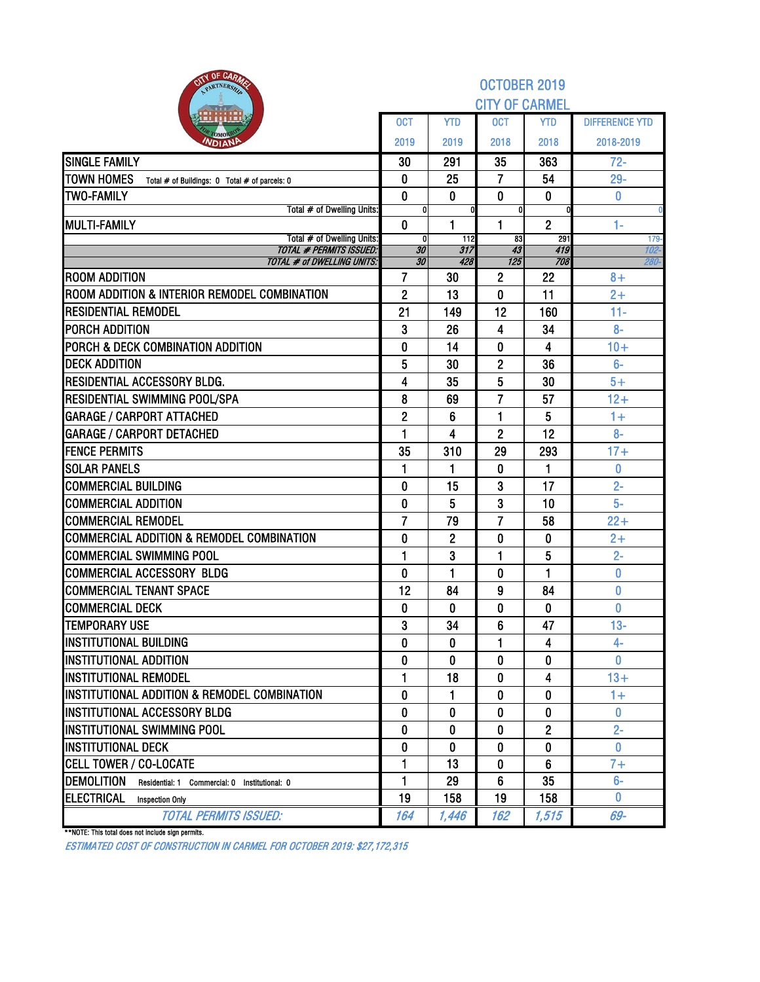| OF CARM<br>PARTNERSH                                               |                   |                | OCTOBER 2019                     |                |                       |
|--------------------------------------------------------------------|-------------------|----------------|----------------------------------|----------------|-----------------------|
|                                                                    |                   |                | <b>CITY OF CARMEL</b>            |                |                       |
|                                                                    | <b>OCT</b>        | <b>YTD</b>     | <b>OCT</b>                       | <b>YTD</b>     | <b>DIFFERENCE YTD</b> |
| <b>NDIAN</b>                                                       | 2019              | 2019           | 2018                             | 2018           | 2018-2019             |
| <b>SINGLE FAMILY</b>                                               | 30                | 291            | 35                               | 363            | $72 -$                |
| <b>TOWN HOMES</b><br>Total # of Buildings: 0 Total # of parcels: 0 | 0                 | 25             | $\overline{7}$                   | 54             | $29 -$                |
| <b>TWO-FAMILY</b>                                                  | $\bf{0}$          | $\mathbf{0}$   | 0                                | $\bf{0}$       | 0                     |
| Total # of Dwelling Units:<br><b>MULTI-FAMILY</b>                  | 0<br>$\mathbf{0}$ | 1              | 0<br>1                           | $\overline{2}$ | 1.                    |
| Total # of Dwelling Units:                                         | 0                 | 112            | 83                               | 291            | $179 -$               |
| <b>TOTAL # PERMITS ISSUED:</b>                                     | 30                | 317            | 43                               | 419            | 102-                  |
| <b>TOTAL # of DWELLING UNITS:</b><br><b>ROOM ADDITION</b>          | 30<br>7           | 428<br>30      | $\overline{125}$<br>$\mathbf{2}$ | 708<br>22      | 280-<br>$8+$          |
| ROOM ADDITION & INTERIOR REMODEL COMBINATION                       | $\overline{2}$    | 13             | 0                                | 11             | $2+$                  |
| <b>RESIDENTIAL REMODEL</b>                                         | 21                | 149            | 12                               | 160            | $11 -$                |
| PORCH ADDITION                                                     | 3                 | 26             | 4                                | 34             | $8-$                  |
| PORCH & DECK COMBINATION ADDITION                                  | $\mathbf{0}$      | 14             | 0                                | 4              | $10+$                 |
| DECK ADDITION                                                      | 5                 | 30             | 2                                | 36             | $6-$                  |
| RESIDENTIAL ACCESSORY BLDG.                                        | 4                 | 35             | 5                                | 30             | $5+$                  |
| RESIDENTIAL SWIMMING POOL/SPA                                      | 8                 | 69             | $\overline{7}$                   | 57             | $12+$                 |
| <b>GARAGE / CARPORT ATTACHED</b>                                   | $\overline{2}$    | 6              | 1                                | 5              | $1+$                  |
| <b>GARAGE / CARPORT DETACHED</b>                                   | 1                 | 4              | 2                                | 12             | $8-$                  |
| <b>FENCE PERMITS</b>                                               | 35                | 310            | 29                               | 293            | $17 +$                |
| <b>SOLAR PANELS</b>                                                | 1                 | 1              | 0                                | 1              | 0                     |
| <b>COMMERCIAL BUILDING</b>                                         | $\bf{0}$          | 15             | 3                                | 17             | $2 -$                 |
| <b>COMMERCIAL ADDITION</b>                                         | 0                 | 5              | 3                                | 10             | $5-$                  |
| <b>COMMERCIAL REMODEL</b>                                          | $\overline{7}$    | 79             | $\overline{7}$                   | 58             | $22 +$                |
| <b>COMMERCIAL ADDITION &amp; REMODEL COMBINATION</b>               | $\bf{0}$          | $\overline{2}$ | 0                                | 0              | $2+$                  |
| <b>COMMERCIAL SWIMMING POOL</b>                                    | 1                 | 3              | 1                                | 5              | $2 -$                 |
| <b>COMMERCIAL ACCESSORY BLDG</b>                                   | 0                 | 1              | 0                                | 1              | 0                     |
| <b>COMMERCIAL TENANT SPACE</b>                                     | 12                | 84             | 9                                | 84             | $\bf{0}$              |
| <b>COMMERCIAL DECK</b>                                             | 0                 | 0              | 0                                | 0              | 0                     |
| <b>TEMPORARY USE</b>                                               | 3                 | 34             | 6                                | 47             | $13-$                 |
| <b>INSTITUTIONAL BUILDING</b>                                      | $\mathbf{0}$      | $\bf{0}$       | 1                                | 4              | 4-                    |
| <b>IINSTITUTIONAL ADDITION</b>                                     | 0                 | 0              | 0                                | 0              | $\mathbf{0}$          |
| <b>INSTITUTIONAL REMODEL</b>                                       | 1                 | 18             | 0                                | 4              | $13+$                 |
| INSTITUTIONAL ADDITION & REMODEL COMBINATION                       | 0                 | 1              | 0                                | $\bf{0}$       | $1+$                  |
| INSTITUTIONAL ACCESSORY BLDG                                       | 0                 | 0              | 0                                | 0              | $\mathbf{0}$          |
| INSTITUTIONAL SWIMMING POOL                                        | 0                 | 0              | 0                                | $\overline{2}$ | $2 -$                 |
| <b>INSTITUTIONAL DECK</b>                                          | 0                 | 0              | 0                                | $\bf{0}$       | 0                     |
| <b>CELL TOWER / CO-LOCATE</b>                                      | 1                 | 13             | 0                                | 6              | $7+$                  |
| <b>DEMOLITION</b><br>Residential: 1 Commercial: 0 Institutional: 0 | 1                 | 29             | 6                                | 35             | $6-$                  |
| <b>ELECTRICAL</b><br><b>Inspection Only</b>                        | 19                | 158            | 19                               | 158            | $\bf{0}$              |
| <b>TOTAL PERMITS ISSUED:</b>                                       | 164               | 1,446          | 162                              | 1,515          | 69-                   |

\*\*NOTE: This total does not include sign permits.

ESTIMATED COST OF CONSTRUCTION IN CARMEL FOR OCTOBER 2019: \$27,172,315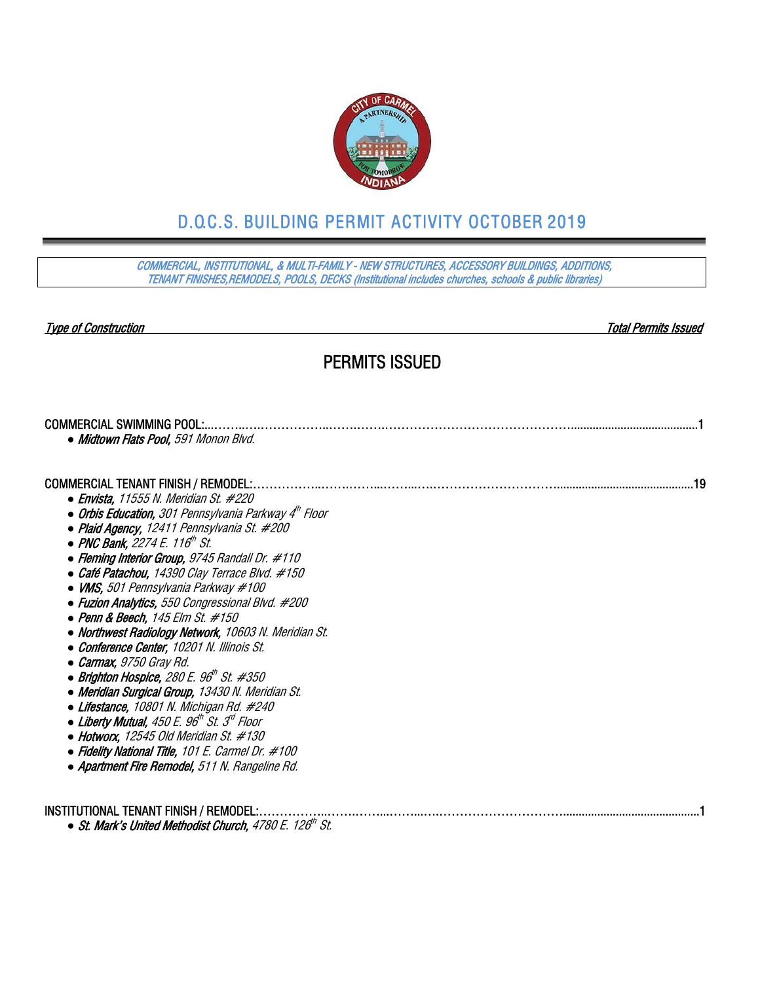

# D.O.C.S. BUILDING PERMIT ACTIVITY OCTOBER 2019

COMMERCIAL, INSTITUTIONAL, & MULTI-FAMILY - NEW STRUCTURES, ACCESSORY BUILDINGS, ADDITIONS, TENANT FINISHES,REMODELS, POOLS, DECKS (Institutional includes churches, schools & public libraries)

Type of Construction Total Permits Issued

## PERMITS ISSUED

| <b>COMMERCIAL SWIMMING POOL:</b>                                            |
|-----------------------------------------------------------------------------|
| • Midtown Flats Pool, 591 Monon Blvd.                                       |
|                                                                             |
| <b>COMMERCIAL TENANT FINISH / REMODEL:.</b><br>19                           |
| $\bullet$ Envista, 11555 N. Meridian St. #220                               |
| • Orbis Education, 301 Pennsylvania Parkway 4 <sup>m</sup> Floor            |
| • Plaid Agency, 12411 Pennsylvania St. #200                                 |
| • PNC Bank, 2274 E. 116 <sup>th</sup> St.                                   |
| • Fleming Interior Group, 9745 Randall Dr. #110                             |
| • Café Patachou, 14390 Clay Terrace Blvd. #150                              |
| $\bullet$ VMS, 501 Pennsylvania Parkway #100                                |
| • Fuzion Analytics, 550 Congressional Blvd. #200                            |
| $\bullet$ Penn & Beech, 145 Elm St. #150                                    |
| • Northwest Radiology Network, 10603 N. Meridian St.                        |
| • Conference Center, 10201 N. Illinois St.                                  |
| • Carmax, 9750 Gray Rd.                                                     |
| • Brighton Hospice, 280 E. 96" St. #350                                     |
| • Meridian Surgical Group, 13430 N. Meridian St.                            |
| $\bullet$ Lifestance, 10801 N. Michigan Rd. #240                            |
| $\bullet$ Liberty Mutual, 450 E. 96 <sup>th</sup> St. 3 <sup>rd</sup> Floor |
| $\bullet$ Hotworx, 12545 Old Meridian St. #130                              |
| • Fidelity National Title, 101 E. Carmel Dr. #100                           |
| • Apartment Fire Remodel, 511 N. Rangeline Rd.                              |
|                                                                             |
|                                                                             |

INSTITUTIONAL TENANT FINISH / REMODEL:……………..…….……...……...….…………………………............................................1 • St. Mark's United Methodist Church, 4780 E. 126<sup>th</sup> St.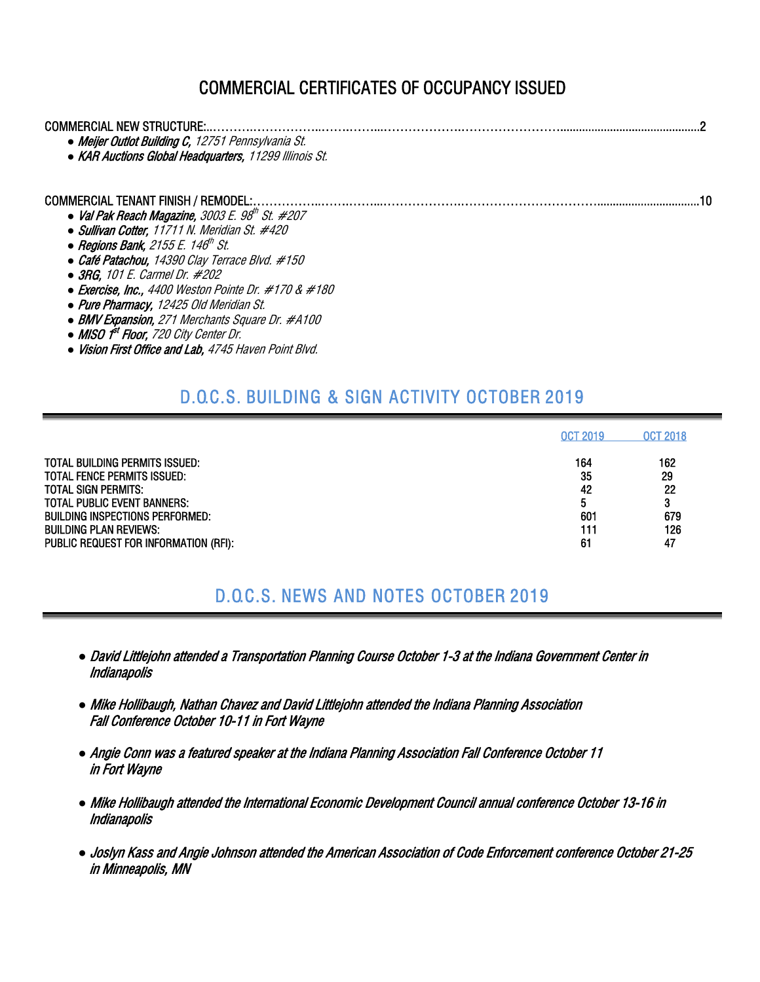## COMMERCIAL CERTIFICATES OF OCCUPANCY ISSUED

| COMMERCIAL NEW STRUCTURE:.                                                                |  |
|-------------------------------------------------------------------------------------------|--|
| • Meijer Outlot Building C, 12751 Pennsylvania St.                                        |  |
| • KAR Auctions Global Headquarters, 11299 Illinois St.                                    |  |
|                                                                                           |  |
| COMMERCIAL TENANT FINISH / REMODEL:.<br>• Val Pak Reach Magazine, $3003 E. 98th St. #207$ |  |
|                                                                                           |  |
| • Sullivan Cotter, 11711 N. Meridian St. #420                                             |  |
| • Regions Bank, 2155 E. 146 <sup>th</sup> St.                                             |  |
| • Café Patachou, 14390 Clay Terrace Blvd. #150                                            |  |
| $\bullet$ 3RG, 101 E. Carmel Dr. #202                                                     |  |
| $\bullet$ Exercise, Inc., 4400 Weston Pointe Dr. #170 & #180                              |  |
| • Pure Pharmacy, 12425 Old Meridian St.                                                   |  |
| • BMV Expansion, 271 Merchants Square Dr. #A100                                           |  |
| • MISO f <sup>st</sup> Floor, 720 City Center Dr.                                         |  |

*●* Vision First Office and Lab, 4745 Haven Point Blvd.

# D.O.C.S. BUILDING & SIGN ACTIVITY OCTOBER 2019

|                                       | <b>OCT 2019</b> | <b>OCT 2018</b> |
|---------------------------------------|-----------------|-----------------|
| <b>TOTAL BUILDING PERMITS ISSUED:</b> | 164             | 162             |
| <b>TOTAL FENCE PERMITS ISSUED:</b>    | 35              | 29              |
| <b>TOTAL SIGN PERMITS:</b>            | 42              | 22              |
| <b>TOTAL PUBLIC EVENT BANNERS:</b>    | 5               | 3               |
| BUILDING INSPECTIONS PERFORMED:       | 601             | 679             |
| <b>BUILDING PLAN REVIEWS:</b>         | 111             | 126             |
| PUBLIC REQUEST FOR INFORMATION (RFI): | 6 <sup>1</sup>  | 47              |

## D.O.C.S. NEWS AND NOTES OCTOBER 2019

- *●* David Littlejohn attended a Transportation Planning Course October 1-3 at the Indiana Government Center in Indianapolis
- *●* Mike Hollibaugh, Nathan Chavez and David Littlejohn attended the Indiana Planning Association Fall Conference October 10-11 in Fort Wayne
- *●* Angie Conn was a featured speaker at the Indiana Planning Association Fall Conference October 11 in Fort Wayne
- *●* Mike Hollibaugh attended the International Economic Development Council annual conference October 13-16 in Indianapolis
- *●* Joslyn Kass and Angie Johnson attended the American Association of Code Enforcement conference October 21-25 in Minneapolis, MN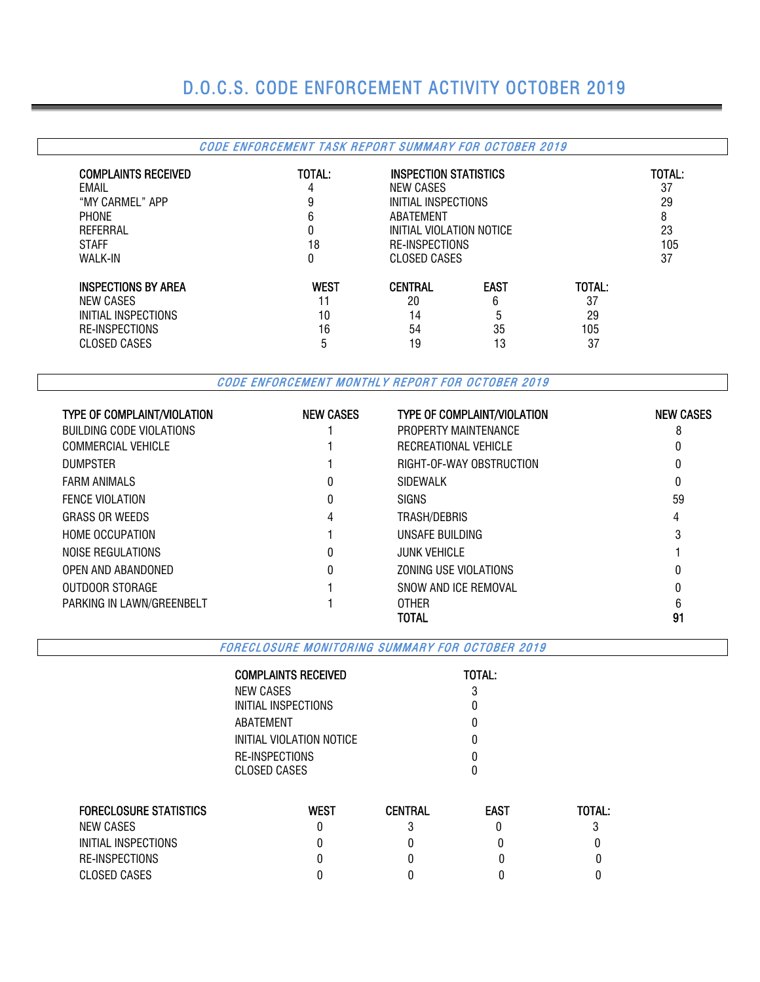# D.O.C.S. CODE ENFORCEMENT ACTIVITY OCTOBER 2019

### CODE ENFORCEMENT TASK REPORT SUMMARY FOR OCTOBER 2019

| <b>COMPLAINTS RECEIVED</b> | TOTAL:      | INSPECTION STATISTICS    |                       |        | TOTAL: |  |  |
|----------------------------|-------------|--------------------------|-----------------------|--------|--------|--|--|
| EMAIL                      | 4           | NEW CASES                |                       |        | 37     |  |  |
| "MY CARMEL" APP            | 9           | INITIAL INSPECTIONS      |                       |        | 29     |  |  |
| <b>PHONE</b>               | 6           | ABATEMENT                |                       | 8      |        |  |  |
| REFERRAL                   | 0           | INITIAL VIOLATION NOTICE |                       |        | 23     |  |  |
| <b>STAFF</b>               | 18          |                          | <b>RE-INSPECTIONS</b> |        | 105    |  |  |
| <b>WALK-IN</b>             | 0           | CLOSED CASES             |                       |        | 37     |  |  |
| <b>INSPECTIONS BY AREA</b> | <b>WEST</b> | <b>CENTRAL</b>           | <b>EAST</b>           | TOTAL: |        |  |  |
| NEW CASES                  |             | 20                       | 6                     | 37     |        |  |  |
| INITIAL INSPECTIONS        | 10          | 14                       | 5                     | 29     |        |  |  |
| RE-INSPECTIONS             | 16          | 54                       | 35                    | 105    |        |  |  |
| <b>CLOSED CASES</b>        | 5           | 19                       | 13                    | 37     |        |  |  |

CODE ENFORCEMENT MONTHLY REPORT FOR OCTOBER 2019

| <b>TYPE OF COMPLAINT/VIOLATION</b> | <b>NEW CASES</b> | <b>TYPE OF COMPLAINT/VIOLATION</b> | <b>NEW CASES</b> |
|------------------------------------|------------------|------------------------------------|------------------|
| BUILDING CODE VIOLATIONS           |                  | PROPERTY MAINTENANCE               |                  |
| <b>COMMERCIAL VEHICLE</b>          |                  | RECREATIONAL VEHICLE               |                  |
| <b>DUMPSTER</b>                    |                  | RIGHT-OF-WAY OBSTRUCTION           |                  |
| <b>FARM ANIMALS</b>                | 0                | <b>SIDEWALK</b>                    | 0                |
| <b>FENCE VIOLATION</b>             | 0                | <b>SIGNS</b>                       | 59               |
| <b>GRASS OR WEEDS</b>              | 4                | TRASH/DEBRIS                       | 4                |
| <b>HOME OCCUPATION</b>             |                  | UNSAFE BUILDING                    | 3                |
| NOISE REGULATIONS                  |                  | <b>JUNK VEHICLE</b>                |                  |
| OPEN AND ABANDONED                 | 0                | ZONING USE VIOLATIONS              | 0                |
| OUTDOOR STORAGE                    |                  | SNOW AND ICE REMOVAL               |                  |
| PARKING IN LAWN/GREENBELT          |                  | <b>OTHER</b>                       |                  |
|                                    |                  | TOTAL                              | 91               |

FORECLOSURE MONITORING SUMMARY FOR OCTOBER 2019

|                               | <b>COMPLAINTS RECEIVED</b> |                | TOTAL:      |        |  |
|-------------------------------|----------------------------|----------------|-------------|--------|--|
|                               | NEW CASES                  |                | ŋ           |        |  |
|                               | INITIAL INSPECTIONS        |                |             |        |  |
|                               | ABATEMENT                  |                |             |        |  |
|                               | INITIAL VIOLATION NOTICE   |                |             |        |  |
|                               | RE-INSPECTIONS             |                |             |        |  |
|                               | <b>CLOSED CASES</b>        |                |             |        |  |
|                               |                            |                |             |        |  |
| <b>FORECLOSURE STATISTICS</b> | <b>WEST</b>                | <b>CENTRAL</b> | <b>EAST</b> | TOTAL: |  |
| NEW CASES                     | 0                          |                |             |        |  |
| INITIAL INSPECTIONS           |                            |                |             |        |  |
| RE-INSPECTIONS                |                            |                |             |        |  |
| <b>CLOSED CASES</b>           |                            |                |             |        |  |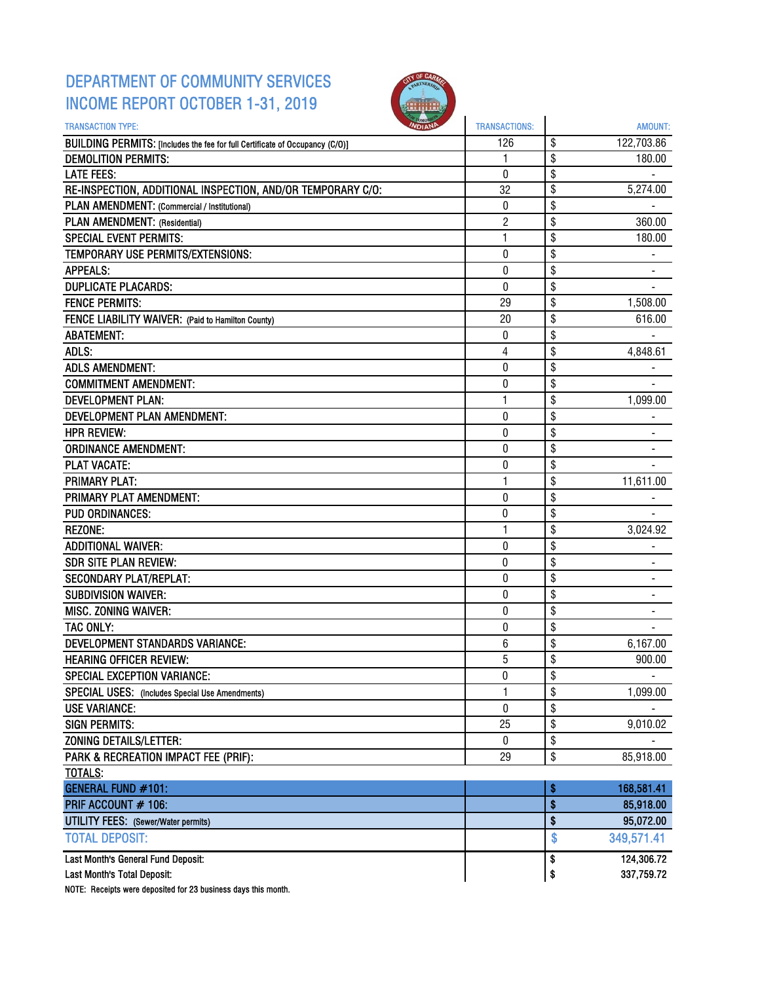## DEPARTMENT OF COMMUNITY SERVICES INCOME REPORT OCTOBER 1-31, 2019



| \$<br>122,703.86<br>BUILDING PERMITS: [Includes the fee for full Certificate of Occupancy (C/O)]<br>126<br>\$<br><b>DEMOLITION PERMITS:</b><br>180.00<br>1<br>\$<br>0<br><b>LATE FEES:</b><br>RE-INSPECTION, ADDITIONAL INSPECTION, AND/OR TEMPORARY C/O:<br>\$<br>32<br>5,274.00<br>\$<br>PLAN AMENDMENT: (Commercial / Institutional)<br>0<br>PLAN AMENDMENT: (Residential)<br>2<br>\$<br>360.00<br>\$<br><b>SPECIAL EVENT PERMITS:</b><br>1<br>180.00<br>\$<br>0<br>TEMPORARY USE PERMITS/EXTENSIONS:<br>\$<br>$\pmb{0}$<br><b>APPEALS:</b><br>\$<br><b>DUPLICATE PLACARDS:</b><br>0<br><b>FENCE PERMITS:</b><br>\$<br>29<br>1,508.00<br>\$<br>FENCE LIABILITY WAIVER: (Paid to Hamilton County)<br>616.00<br>20<br>\$<br><b>ABATEMENT:</b><br>0<br>ADLS:<br>4<br>\$<br>4,848.61<br>\$<br><b>ADLS AMENDMENT:</b><br>0<br>\$<br><b>COMMITMENT AMENDMENT:</b><br>$\pmb{0}$<br>1<br>\$<br>1,099.00<br><b>DEVELOPMENT PLAN:</b><br>\$<br>DEVELOPMENT PLAN AMENDMENT:<br>0<br>$\mathbf 0$<br>\$<br><b>HPR REVIEW:</b><br>$\pmb{0}$<br>\$<br><b>ORDINANCE AMENDMENT:</b><br>\$<br><b>PLAT VACATE:</b><br>0<br><b>PRIMARY PLAT:</b><br>\$<br>11,611.00<br>1<br>\$<br>PRIMARY PLAT AMENDMENT:<br>0<br>\$<br><b>PUD ORDINANCES:</b><br>0<br>\$<br>1<br><b>REZONE:</b><br>3,024.92<br>\$<br>$\pmb{0}$<br><b>ADDITIONAL WAIVER:</b><br>٠<br>\$<br><b>SDR SITE PLAN REVIEW:</b><br>0<br><b>SECONDARY PLAT/REPLAT:</b><br>\$<br>0<br>\$<br><b>SUBDIVISION WAIVER:</b><br>0<br>\$<br>$\mathbf{0}$<br>MISC. ZONING WAIVER:<br>\$<br>TAC ONLY:<br>0<br>\$<br><b>DEVELOPMENT STANDARDS VARIANCE:</b><br>6<br>6,167.00<br>5<br>\$<br><b>HEARING OFFICER REVIEW:</b><br>900.00<br>\$<br>SPECIAL EXCEPTION VARIANCE:<br>0<br>\$<br>1<br>1,099.00<br>SPECIAL USES: (Includes Special Use Amendments)<br>\$<br><b>USE VARIANCE:</b><br>0<br>\$<br><b>SIGN PERMITS:</b><br>25<br>9,010.02<br>ZONING DETAILS/LETTER:<br>\$<br>$\pmb{0}$<br>PARK & RECREATION IMPACT FEE (PRIF):<br>\$<br>85,918.00<br>29<br><b>TOTALS:</b><br><b>GENERAL FUND #101:</b><br>168,581.41<br>\$<br>\$<br>PRIF ACCOUNT # 106:<br>85,918.00<br>\$<br><b>UTILITY FEES:</b> (Sewer/Water permits)<br><b>TOTAL DEPOSIT:</b><br>\$<br>349,571.41<br>Last Month's General Fund Deposit:<br>124,306.72<br>\$<br>Last Month's Total Deposit:<br>\$<br>337,759.72 | <b>TRANSACTION TYPE:</b> | <b>TRANSACTIONS:</b> | <b>AMOUNT:</b> |
|----------------------------------------------------------------------------------------------------------------------------------------------------------------------------------------------------------------------------------------------------------------------------------------------------------------------------------------------------------------------------------------------------------------------------------------------------------------------------------------------------------------------------------------------------------------------------------------------------------------------------------------------------------------------------------------------------------------------------------------------------------------------------------------------------------------------------------------------------------------------------------------------------------------------------------------------------------------------------------------------------------------------------------------------------------------------------------------------------------------------------------------------------------------------------------------------------------------------------------------------------------------------------------------------------------------------------------------------------------------------------------------------------------------------------------------------------------------------------------------------------------------------------------------------------------------------------------------------------------------------------------------------------------------------------------------------------------------------------------------------------------------------------------------------------------------------------------------------------------------------------------------------------------------------------------------------------------------------------------------------------------------------------------------------------------------------------------------------------------------------------------------------------------------------------------------------------------------------------------------------------------------------------------------------------------------|--------------------------|----------------------|----------------|
|                                                                                                                                                                                                                                                                                                                                                                                                                                                                                                                                                                                                                                                                                                                                                                                                                                                                                                                                                                                                                                                                                                                                                                                                                                                                                                                                                                                                                                                                                                                                                                                                                                                                                                                                                                                                                                                                                                                                                                                                                                                                                                                                                                                                                                                                                                                |                          |                      |                |
|                                                                                                                                                                                                                                                                                                                                                                                                                                                                                                                                                                                                                                                                                                                                                                                                                                                                                                                                                                                                                                                                                                                                                                                                                                                                                                                                                                                                                                                                                                                                                                                                                                                                                                                                                                                                                                                                                                                                                                                                                                                                                                                                                                                                                                                                                                                |                          |                      |                |
|                                                                                                                                                                                                                                                                                                                                                                                                                                                                                                                                                                                                                                                                                                                                                                                                                                                                                                                                                                                                                                                                                                                                                                                                                                                                                                                                                                                                                                                                                                                                                                                                                                                                                                                                                                                                                                                                                                                                                                                                                                                                                                                                                                                                                                                                                                                |                          |                      |                |
|                                                                                                                                                                                                                                                                                                                                                                                                                                                                                                                                                                                                                                                                                                                                                                                                                                                                                                                                                                                                                                                                                                                                                                                                                                                                                                                                                                                                                                                                                                                                                                                                                                                                                                                                                                                                                                                                                                                                                                                                                                                                                                                                                                                                                                                                                                                |                          |                      |                |
|                                                                                                                                                                                                                                                                                                                                                                                                                                                                                                                                                                                                                                                                                                                                                                                                                                                                                                                                                                                                                                                                                                                                                                                                                                                                                                                                                                                                                                                                                                                                                                                                                                                                                                                                                                                                                                                                                                                                                                                                                                                                                                                                                                                                                                                                                                                |                          |                      |                |
|                                                                                                                                                                                                                                                                                                                                                                                                                                                                                                                                                                                                                                                                                                                                                                                                                                                                                                                                                                                                                                                                                                                                                                                                                                                                                                                                                                                                                                                                                                                                                                                                                                                                                                                                                                                                                                                                                                                                                                                                                                                                                                                                                                                                                                                                                                                |                          |                      |                |
|                                                                                                                                                                                                                                                                                                                                                                                                                                                                                                                                                                                                                                                                                                                                                                                                                                                                                                                                                                                                                                                                                                                                                                                                                                                                                                                                                                                                                                                                                                                                                                                                                                                                                                                                                                                                                                                                                                                                                                                                                                                                                                                                                                                                                                                                                                                |                          |                      |                |
|                                                                                                                                                                                                                                                                                                                                                                                                                                                                                                                                                                                                                                                                                                                                                                                                                                                                                                                                                                                                                                                                                                                                                                                                                                                                                                                                                                                                                                                                                                                                                                                                                                                                                                                                                                                                                                                                                                                                                                                                                                                                                                                                                                                                                                                                                                                |                          |                      |                |
|                                                                                                                                                                                                                                                                                                                                                                                                                                                                                                                                                                                                                                                                                                                                                                                                                                                                                                                                                                                                                                                                                                                                                                                                                                                                                                                                                                                                                                                                                                                                                                                                                                                                                                                                                                                                                                                                                                                                                                                                                                                                                                                                                                                                                                                                                                                |                          |                      |                |
|                                                                                                                                                                                                                                                                                                                                                                                                                                                                                                                                                                                                                                                                                                                                                                                                                                                                                                                                                                                                                                                                                                                                                                                                                                                                                                                                                                                                                                                                                                                                                                                                                                                                                                                                                                                                                                                                                                                                                                                                                                                                                                                                                                                                                                                                                                                |                          |                      |                |
|                                                                                                                                                                                                                                                                                                                                                                                                                                                                                                                                                                                                                                                                                                                                                                                                                                                                                                                                                                                                                                                                                                                                                                                                                                                                                                                                                                                                                                                                                                                                                                                                                                                                                                                                                                                                                                                                                                                                                                                                                                                                                                                                                                                                                                                                                                                |                          |                      |                |
|                                                                                                                                                                                                                                                                                                                                                                                                                                                                                                                                                                                                                                                                                                                                                                                                                                                                                                                                                                                                                                                                                                                                                                                                                                                                                                                                                                                                                                                                                                                                                                                                                                                                                                                                                                                                                                                                                                                                                                                                                                                                                                                                                                                                                                                                                                                |                          |                      |                |
|                                                                                                                                                                                                                                                                                                                                                                                                                                                                                                                                                                                                                                                                                                                                                                                                                                                                                                                                                                                                                                                                                                                                                                                                                                                                                                                                                                                                                                                                                                                                                                                                                                                                                                                                                                                                                                                                                                                                                                                                                                                                                                                                                                                                                                                                                                                |                          |                      |                |
|                                                                                                                                                                                                                                                                                                                                                                                                                                                                                                                                                                                                                                                                                                                                                                                                                                                                                                                                                                                                                                                                                                                                                                                                                                                                                                                                                                                                                                                                                                                                                                                                                                                                                                                                                                                                                                                                                                                                                                                                                                                                                                                                                                                                                                                                                                                |                          |                      |                |
|                                                                                                                                                                                                                                                                                                                                                                                                                                                                                                                                                                                                                                                                                                                                                                                                                                                                                                                                                                                                                                                                                                                                                                                                                                                                                                                                                                                                                                                                                                                                                                                                                                                                                                                                                                                                                                                                                                                                                                                                                                                                                                                                                                                                                                                                                                                |                          |                      |                |
|                                                                                                                                                                                                                                                                                                                                                                                                                                                                                                                                                                                                                                                                                                                                                                                                                                                                                                                                                                                                                                                                                                                                                                                                                                                                                                                                                                                                                                                                                                                                                                                                                                                                                                                                                                                                                                                                                                                                                                                                                                                                                                                                                                                                                                                                                                                |                          |                      |                |
|                                                                                                                                                                                                                                                                                                                                                                                                                                                                                                                                                                                                                                                                                                                                                                                                                                                                                                                                                                                                                                                                                                                                                                                                                                                                                                                                                                                                                                                                                                                                                                                                                                                                                                                                                                                                                                                                                                                                                                                                                                                                                                                                                                                                                                                                                                                |                          |                      |                |
|                                                                                                                                                                                                                                                                                                                                                                                                                                                                                                                                                                                                                                                                                                                                                                                                                                                                                                                                                                                                                                                                                                                                                                                                                                                                                                                                                                                                                                                                                                                                                                                                                                                                                                                                                                                                                                                                                                                                                                                                                                                                                                                                                                                                                                                                                                                |                          |                      |                |
|                                                                                                                                                                                                                                                                                                                                                                                                                                                                                                                                                                                                                                                                                                                                                                                                                                                                                                                                                                                                                                                                                                                                                                                                                                                                                                                                                                                                                                                                                                                                                                                                                                                                                                                                                                                                                                                                                                                                                                                                                                                                                                                                                                                                                                                                                                                |                          |                      |                |
|                                                                                                                                                                                                                                                                                                                                                                                                                                                                                                                                                                                                                                                                                                                                                                                                                                                                                                                                                                                                                                                                                                                                                                                                                                                                                                                                                                                                                                                                                                                                                                                                                                                                                                                                                                                                                                                                                                                                                                                                                                                                                                                                                                                                                                                                                                                |                          |                      |                |
|                                                                                                                                                                                                                                                                                                                                                                                                                                                                                                                                                                                                                                                                                                                                                                                                                                                                                                                                                                                                                                                                                                                                                                                                                                                                                                                                                                                                                                                                                                                                                                                                                                                                                                                                                                                                                                                                                                                                                                                                                                                                                                                                                                                                                                                                                                                |                          |                      |                |
|                                                                                                                                                                                                                                                                                                                                                                                                                                                                                                                                                                                                                                                                                                                                                                                                                                                                                                                                                                                                                                                                                                                                                                                                                                                                                                                                                                                                                                                                                                                                                                                                                                                                                                                                                                                                                                                                                                                                                                                                                                                                                                                                                                                                                                                                                                                |                          |                      |                |
|                                                                                                                                                                                                                                                                                                                                                                                                                                                                                                                                                                                                                                                                                                                                                                                                                                                                                                                                                                                                                                                                                                                                                                                                                                                                                                                                                                                                                                                                                                                                                                                                                                                                                                                                                                                                                                                                                                                                                                                                                                                                                                                                                                                                                                                                                                                |                          |                      |                |
|                                                                                                                                                                                                                                                                                                                                                                                                                                                                                                                                                                                                                                                                                                                                                                                                                                                                                                                                                                                                                                                                                                                                                                                                                                                                                                                                                                                                                                                                                                                                                                                                                                                                                                                                                                                                                                                                                                                                                                                                                                                                                                                                                                                                                                                                                                                |                          |                      |                |
|                                                                                                                                                                                                                                                                                                                                                                                                                                                                                                                                                                                                                                                                                                                                                                                                                                                                                                                                                                                                                                                                                                                                                                                                                                                                                                                                                                                                                                                                                                                                                                                                                                                                                                                                                                                                                                                                                                                                                                                                                                                                                                                                                                                                                                                                                                                |                          |                      |                |
|                                                                                                                                                                                                                                                                                                                                                                                                                                                                                                                                                                                                                                                                                                                                                                                                                                                                                                                                                                                                                                                                                                                                                                                                                                                                                                                                                                                                                                                                                                                                                                                                                                                                                                                                                                                                                                                                                                                                                                                                                                                                                                                                                                                                                                                                                                                |                          |                      |                |
|                                                                                                                                                                                                                                                                                                                                                                                                                                                                                                                                                                                                                                                                                                                                                                                                                                                                                                                                                                                                                                                                                                                                                                                                                                                                                                                                                                                                                                                                                                                                                                                                                                                                                                                                                                                                                                                                                                                                                                                                                                                                                                                                                                                                                                                                                                                |                          |                      |                |
|                                                                                                                                                                                                                                                                                                                                                                                                                                                                                                                                                                                                                                                                                                                                                                                                                                                                                                                                                                                                                                                                                                                                                                                                                                                                                                                                                                                                                                                                                                                                                                                                                                                                                                                                                                                                                                                                                                                                                                                                                                                                                                                                                                                                                                                                                                                |                          |                      |                |
|                                                                                                                                                                                                                                                                                                                                                                                                                                                                                                                                                                                                                                                                                                                                                                                                                                                                                                                                                                                                                                                                                                                                                                                                                                                                                                                                                                                                                                                                                                                                                                                                                                                                                                                                                                                                                                                                                                                                                                                                                                                                                                                                                                                                                                                                                                                |                          |                      |                |
|                                                                                                                                                                                                                                                                                                                                                                                                                                                                                                                                                                                                                                                                                                                                                                                                                                                                                                                                                                                                                                                                                                                                                                                                                                                                                                                                                                                                                                                                                                                                                                                                                                                                                                                                                                                                                                                                                                                                                                                                                                                                                                                                                                                                                                                                                                                |                          |                      |                |
|                                                                                                                                                                                                                                                                                                                                                                                                                                                                                                                                                                                                                                                                                                                                                                                                                                                                                                                                                                                                                                                                                                                                                                                                                                                                                                                                                                                                                                                                                                                                                                                                                                                                                                                                                                                                                                                                                                                                                                                                                                                                                                                                                                                                                                                                                                                |                          |                      |                |
|                                                                                                                                                                                                                                                                                                                                                                                                                                                                                                                                                                                                                                                                                                                                                                                                                                                                                                                                                                                                                                                                                                                                                                                                                                                                                                                                                                                                                                                                                                                                                                                                                                                                                                                                                                                                                                                                                                                                                                                                                                                                                                                                                                                                                                                                                                                |                          |                      |                |
|                                                                                                                                                                                                                                                                                                                                                                                                                                                                                                                                                                                                                                                                                                                                                                                                                                                                                                                                                                                                                                                                                                                                                                                                                                                                                                                                                                                                                                                                                                                                                                                                                                                                                                                                                                                                                                                                                                                                                                                                                                                                                                                                                                                                                                                                                                                |                          |                      |                |
|                                                                                                                                                                                                                                                                                                                                                                                                                                                                                                                                                                                                                                                                                                                                                                                                                                                                                                                                                                                                                                                                                                                                                                                                                                                                                                                                                                                                                                                                                                                                                                                                                                                                                                                                                                                                                                                                                                                                                                                                                                                                                                                                                                                                                                                                                                                |                          |                      |                |
|                                                                                                                                                                                                                                                                                                                                                                                                                                                                                                                                                                                                                                                                                                                                                                                                                                                                                                                                                                                                                                                                                                                                                                                                                                                                                                                                                                                                                                                                                                                                                                                                                                                                                                                                                                                                                                                                                                                                                                                                                                                                                                                                                                                                                                                                                                                |                          |                      |                |
|                                                                                                                                                                                                                                                                                                                                                                                                                                                                                                                                                                                                                                                                                                                                                                                                                                                                                                                                                                                                                                                                                                                                                                                                                                                                                                                                                                                                                                                                                                                                                                                                                                                                                                                                                                                                                                                                                                                                                                                                                                                                                                                                                                                                                                                                                                                |                          |                      |                |
|                                                                                                                                                                                                                                                                                                                                                                                                                                                                                                                                                                                                                                                                                                                                                                                                                                                                                                                                                                                                                                                                                                                                                                                                                                                                                                                                                                                                                                                                                                                                                                                                                                                                                                                                                                                                                                                                                                                                                                                                                                                                                                                                                                                                                                                                                                                |                          |                      |                |
|                                                                                                                                                                                                                                                                                                                                                                                                                                                                                                                                                                                                                                                                                                                                                                                                                                                                                                                                                                                                                                                                                                                                                                                                                                                                                                                                                                                                                                                                                                                                                                                                                                                                                                                                                                                                                                                                                                                                                                                                                                                                                                                                                                                                                                                                                                                |                          |                      |                |
|                                                                                                                                                                                                                                                                                                                                                                                                                                                                                                                                                                                                                                                                                                                                                                                                                                                                                                                                                                                                                                                                                                                                                                                                                                                                                                                                                                                                                                                                                                                                                                                                                                                                                                                                                                                                                                                                                                                                                                                                                                                                                                                                                                                                                                                                                                                |                          |                      |                |
|                                                                                                                                                                                                                                                                                                                                                                                                                                                                                                                                                                                                                                                                                                                                                                                                                                                                                                                                                                                                                                                                                                                                                                                                                                                                                                                                                                                                                                                                                                                                                                                                                                                                                                                                                                                                                                                                                                                                                                                                                                                                                                                                                                                                                                                                                                                |                          |                      |                |
|                                                                                                                                                                                                                                                                                                                                                                                                                                                                                                                                                                                                                                                                                                                                                                                                                                                                                                                                                                                                                                                                                                                                                                                                                                                                                                                                                                                                                                                                                                                                                                                                                                                                                                                                                                                                                                                                                                                                                                                                                                                                                                                                                                                                                                                                                                                |                          |                      |                |
|                                                                                                                                                                                                                                                                                                                                                                                                                                                                                                                                                                                                                                                                                                                                                                                                                                                                                                                                                                                                                                                                                                                                                                                                                                                                                                                                                                                                                                                                                                                                                                                                                                                                                                                                                                                                                                                                                                                                                                                                                                                                                                                                                                                                                                                                                                                |                          |                      |                |
|                                                                                                                                                                                                                                                                                                                                                                                                                                                                                                                                                                                                                                                                                                                                                                                                                                                                                                                                                                                                                                                                                                                                                                                                                                                                                                                                                                                                                                                                                                                                                                                                                                                                                                                                                                                                                                                                                                                                                                                                                                                                                                                                                                                                                                                                                                                |                          |                      | 95,072.00      |
|                                                                                                                                                                                                                                                                                                                                                                                                                                                                                                                                                                                                                                                                                                                                                                                                                                                                                                                                                                                                                                                                                                                                                                                                                                                                                                                                                                                                                                                                                                                                                                                                                                                                                                                                                                                                                                                                                                                                                                                                                                                                                                                                                                                                                                                                                                                |                          |                      |                |
|                                                                                                                                                                                                                                                                                                                                                                                                                                                                                                                                                                                                                                                                                                                                                                                                                                                                                                                                                                                                                                                                                                                                                                                                                                                                                                                                                                                                                                                                                                                                                                                                                                                                                                                                                                                                                                                                                                                                                                                                                                                                                                                                                                                                                                                                                                                |                          |                      |                |
|                                                                                                                                                                                                                                                                                                                                                                                                                                                                                                                                                                                                                                                                                                                                                                                                                                                                                                                                                                                                                                                                                                                                                                                                                                                                                                                                                                                                                                                                                                                                                                                                                                                                                                                                                                                                                                                                                                                                                                                                                                                                                                                                                                                                                                                                                                                |                          |                      |                |

NOTE: Receipts were deposited for 23 business days this month.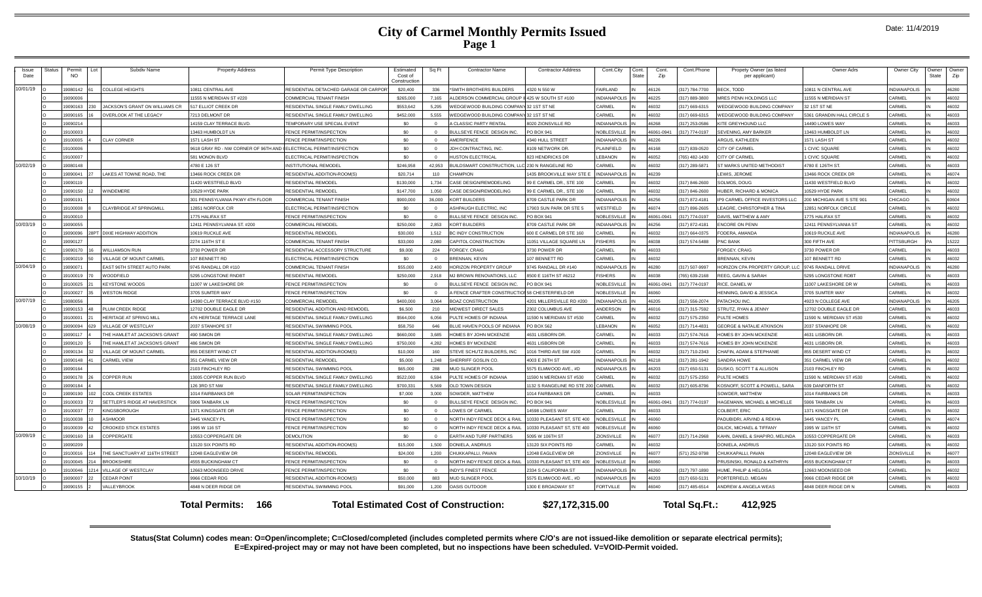| Issue<br>Date | Status                                                                                                                                                | Permit<br><b>NO</b> | Subdiv Name                    | <b>Property Address</b>              | Permit Type Description               | Estimated<br>Cost of<br>Constructio | Sq Ft      | <b>Contractor Name</b>                                 | <b>Contractor Address</b>  | Cont.City                | Cont.<br>State | Cont.<br>Zip | Cont.Phone    | Propety Owner (as listed<br>per applicant) | Owner Adrs                 | Owner City          | )wner<br>State | Owner<br>Zip |
|---------------|-------------------------------------------------------------------------------------------------------------------------------------------------------|---------------------|--------------------------------|--------------------------------------|---------------------------------------|-------------------------------------|------------|--------------------------------------------------------|----------------------------|--------------------------|----------------|--------------|---------------|--------------------------------------------|----------------------------|---------------------|----------------|--------------|
| 10/01/19      |                                                                                                                                                       | 9080142             | <b>COLLEGE HEIGHTS</b>         | 10811 CENTRAL AVE                    | RESIDENTIAL DETACHED GARAGE OR CARPOR | \$20,400                            | 336        | SMITH BROTHERS BUILDERS                                | 4320 N 550 W               | FAIRI AND                |                | 46126        | 317) 784-7700 | <b>BECK. TODD</b>                          | 0811 N CENTRAL AVE         | INDIANAPOLIS        |                | 46280        |
|               |                                                                                                                                                       | 19090006            |                                | 11555 N MERIDIAN ST #220             | COMMERCIAL TENANT FINISH              | \$265,000                           | 7.165      | ALDERSON COMMERCIAL GROUP II 425 W SOUTH ST #100       |                            | NDIANAPOLIS <sup>I</sup> |                | 46225        | 317) 889-3800 | <b>IRES PENN HOLDINGS LLC</b>              | 1555 N MERIDIAN ST         | CARMEL              |                | 46032        |
|               |                                                                                                                                                       | Eat09015            | JACKSON'S GRANT ON WILLIAMS CR | 517 ELLIOT CREEK DR                  | RESIDENTIAL SINGLE FAMILY DWELLING    | \$553.642                           | 5.295      | <b>NEDGEWOOD BUILDING COMPANY 32 1ST ST NE</b>         |                            | <b>ARMEL</b>             |                | 46032        | 317) 669-6315 | <b>VEDGEWOOD BUILDING COMPANY</b>          | 21ST ST NE                 | <b>ARMEI</b>        |                | 46032        |
|               |                                                                                                                                                       | 9090165             | OVERLOOK AT THE LEGACY         | 7213 DELMONT DR                      | RESIDENTIAL SINGLE FAMILY DWELLING    | \$452,000                           | 5.555      | <b><i>NEDGEWOOD BUILDING COMPANY 32 1ST ST NE</i></b>  |                            | CARMEL                   |                | 46032        | 317) 669-6315 | <b>VEDGEWOOD BUILDING COMPANY</b>          | 361 GRANDIN HALL CIRCLE S  | <b>ARMEL</b>        |                | 46033        |
|               |                                                                                                                                                       | 9090214             |                                | 14159 CLAY TERRACE BLVD              | <b>FEMPORARY USE SPECIAL EVENT</b>    | \$0                                 |            | CLASSIC PARTY RENTAL                                   | 020 ZIONSVILLE RD          | NDIANAPOLIS              |                | 6268         | 317) 253-0586 | <b>KITE GREYHOUND LLC</b>                  | 490 LOWES WAY              | ARMEL               |                | 46033        |
|               |                                                                                                                                                       | 9100003             |                                | 13463 HUMBOLDT LN                    | <b>ENCE PERMIT/INSPECTION</b>         | \$0                                 | $\Omega$   | BULLSEYE FENCE DESIGN INC                              | PO BOX 941                 | NOBLESVILLE              |                | 46061-094    | 317) 774-0197 | SEVENING, AMY BARKER                       | 3463 HUMBOLDT LN           | ARMEI               |                | 46032        |
|               |                                                                                                                                                       | 19100005            | <b>CLAY CORNER</b>             | 1571 LASH ST                         | FENCE PERMIT/INSPECTION               | \$0                                 | $\Omega$   | <b>MERIFENCE</b>                                       | <b>4340 HULL STREET</b>    | <b>NDIANAPOLIS</b>       |                | 46226        |               | <b>RGUS, KATHLEEN</b>                      | 571 LASH ST                | <b>ARMEL</b>        |                | 46032        |
|               |                                                                                                                                                       | 9100006             |                                | 9618 GRAY RD - NW CORNER OF 96TH AND | LECTRICAL PERMIT/INSPECTION           | \$0                                 | $\Omega$   | <b>JDH CONTRACTING, INC.</b>                           | 3109 NETWORK DR            | <b>LAINFIELD</b>         |                | 46168        | 317) 839-0520 | CITY OF CARMEL                             | <b>CIVIC SQUARE</b>        | <b>ARMEL</b>        |                | 46032        |
|               |                                                                                                                                                       | 19100007            |                                | 581 MONON BLVD                       | LECTRICAL PERMIT/INSPECTION           | \$0                                 | $\Omega$   | <b>IUSTON ELECTRICAL</b>                               | 823 HENDRICKS DR           | <b>EBANON</b>            |                | 46052        | 765) 482-1430 | CITY OF CARMEL                             | <b>CIVIC SQUARE</b>        | ARMEI               |                | 46032        |
| 10/02/19      |                                                                                                                                                       | 9080148             |                                | 4780 E 126 ST                        | NSTITUTIONAL REMODEL                  | \$246,958                           | 42.953     | <b>BUILDSMART CONSTRUCTION, LLC 230 N RANGELINE RD</b> |                            | CARMEL                   |                | 46032        | 317) 289-5871 | ST MARKS UNITED METHODIST                  | 1780 E 126TH ST.           | ARMFI               |                | 46033        |
|               |                                                                                                                                                       | 9090041             | LAKES AT TOWNE ROAD, THE       | 13466 ROCK CREEK DR                  | RESIDENTIAL ADDITION-ROOM(S)          | \$20,714                            | 110        | CHAMPION                                               | 435 BROOKVILLE WAY STE E   | NDIANAPOLIS              |                | 46239        |               | EWIS, JEROME                               | 466 ROCK CREEK DR          | ARMEI               |                | 46074        |
|               |                                                                                                                                                       | 19090119            |                                | 11420 WESTFIELD BLVD                 | RESIDENTIAL REMODE                    | \$130,000                           | 1734       | CASE DESIGN/REMODELING                                 | 99 E CARMEL DR STE 100     | <b>ARMEL</b>             |                | 46032        | 317) 846-2600 | SOLMOS, DOUG                               | <b>430 WESTFIELD BLVD</b>  | <b>ARMEL</b>        |                | 46032        |
|               |                                                                                                                                                       | 19090150            | WINDEMERE                      | 10529 HYDE PARK                      | RESIDENTIAL REMODEL                   | \$147,700                           | 1.050      | CASE DESIGN/REMODELING                                 | 99 E CARMEL DR., STE 100   | CARMEL                   |                | 46032        | 317) 846-2600 | <b>IUBER, RICHARD &amp; MONICA</b>         | 0529 HYDE PARK             | ARMEI               |                | 46032        |
|               |                                                                                                                                                       | 9090191             |                                | 301 PENNSYLVANIA PKWY 4TH FLOOF      | <b>COMMERCIAL TENANT FINISH</b>       | \$900,000                           | 36,000     | KORT BUILDERS                                          | 709 CASTLE PARK DR         | <b>VDIANAPOLIS</b>       |                | 46256        | 317) 872-4181 | <b>P9 CARMEL OFFICE INVESTORS LLC</b>      | 00 MICHIGAN AVE S STE 901  | <b>HICAGO</b>       |                | 60604        |
|               |                                                                                                                                                       | 9100008             | CLAYBRIDGE AT SPRINGMILL       | 12851 NORFOLK CIR                    | <b>I ECTRICAL PERMIT/INSPECTION</b>   | \$0                                 | $\Omega$   | ASHPAUGH ELECTRIC, INC                                 | 7903 SUN PARK DR STE 5     | VESTFIELD                |                | 46074        | 317) 896-2605 | <b>FAGRE, CHRISTOPHER &amp; TINA</b>       | 2851 NORFOLK CIRCLE        | ARMFI               |                | 46032        |
|               |                                                                                                                                                       | 9100010             |                                | 1775 HALIFAX ST                      | <b>ENCE PERMIT/INSPECTION</b>         | \$0                                 | $\Omega$   | BULLSEYE FENCE DESIGN INC                              | PO BOX 941                 | <b>NOBLESVILLE</b>       |                | 46061-094    | 317) 774-0197 | DAVIS, MATTHEW & AMY                       | 775 HALIFAX ST             | ARMFI               |                | 46032        |
| 10/03/19      |                                                                                                                                                       | 9090055             |                                | 12411 PENNSYLVANIA ST. #200          | COMMERCIAL REMODE                     | \$250,000                           | 2.853      | <b>KORT BUILDERS</b>                                   | 3709 CASTLE PARK DR        | <b>NDIANAPOLIS</b>       |                | 46256        | 317) 872-4181 | NCORE ON PENN                              | 2411 PENNSYLVANIA ST       | <b>ARMEL</b>        |                | 46032        |
|               |                                                                                                                                                       | 9090096             | PT DIXIF HIGHWAY ADDITION      | 10619 RUCKLE AVE                     | RESIDENTIAL REMODEL                   | \$30,000                            | 1.512      | BC INDY CONSTRUCTION                                   | 600 E CARMEL DR STE 160    | ARMEL                    |                | 46032        | 317) 664-0375 | ODERA, AMANDA                              | 0619 RUCKLE AVE            | NDIANAPOLIS         |                | 46280        |
|               |                                                                                                                                                       | 19090127            |                                | 2274 116TH ST E                      | COMMERCIAL TENANT FINISH              | \$33,000                            | 2,080      | CAPITOL CONSTRUCTION                                   | 11051 VILLAGE SQUARE LN    | <b>FISHERS</b>           |                | 46038        | 317) 574-5488 | <b>PNC BANK</b>                            | 300 FIFTH AVE              | <b>ITTSBURGH</b>    |                | 15222        |
|               |                                                                                                                                                       | 19090170            | WILLIAMSON RUN                 | 3730 POWER DR                        | RESIDENTIAL ACCESSORY STRUCTURE       | \$9,000                             | 224        | FORGEY, CRAIG                                          | 3730 POWER DR              | CARMEL                   |                | 46033        |               | ORGEY, CRAIG                               | 3730 POWER DR              | ARMFI               |                | 46033        |
|               |                                                                                                                                                       | 9090219             | VILLAGE OF MOUNT CARMEL        | 107 BENNETT RD                       | LECTRICAL PERMIT/INSPECTION           | \$0                                 | $^{\circ}$ | BRENNAN, KEVIN                                         | 107 BENNETT RD             | CARMEL                   |                | 6032         |               | <b>BRENNAN, KEVIN</b>                      | 07 BENNETT RD              | <b>ARMEL</b>        |                | 46032        |
| 10/04/19      |                                                                                                                                                       | 909007              | EAST 96TH STREET AUTO PARK     | 9745 RANDALL DR #110                 | COMMERCIAL TENANT FINISH              | \$55,000                            | 2400       | HORIZON PROPERTY GROUP                                 | 745 RANDALL DR #140        | NDIANAPOLIS              |                | 46280        | 317) 507-9993 | <b>IORIZON CPA PROPERTY GROUP, LI</b>      | 745 RANDALL DRIVE          | NDIANAPOLIS         |                | 46280        |
|               |                                                                                                                                                       | 9100019             | WOODFIELD                      | 5295 LONGSTONE RNDBT                 | RESIDENTIAL REMODEL                   | \$250,000                           | 2,918      | MJ BROWN RENOVATIONS, LLC                              | 8500 E 116TH ST #6212      | <b>ISHERS</b>            |                | 46038        | 765) 639-2168 | REEG. GAVIN & SARAH                        | <b>5295 LONGSTONE RDBT</b> | ARMEI               |                | 46033        |
|               |                                                                                                                                                       | 19100025            | <b>KEYSTONE WOODS</b>          | 11007 W LAKESHORE DR                 | FENCE PERMIT/INSPECTION               | \$0                                 | $\Omega$   | <b>BULLSEYE FENCE DESIGN INC</b>                       | PO BOX 941                 | <b>NOBLESVILLE</b>       |                | 46061-094    | 317) 774-0197 | RICE, DANIEL W                             | 007 LAKESHORE DR W         | <b>ARMEL</b>        |                | 46033        |
|               |                                                                                                                                                       | 9100027             | <b>WESTON RIDGE</b>            | 3705 SUMTER WAY                      | FENCE PERMIT/INSPECTION               | \$0                                 | $\Omega$   | A FENCE CRAFTER CONSTRUCTION 58 CHESTERFIELD DR        |                            | <b>NOBLESVILLE</b>       |                | 46060        |               | HENNING, DAVID & JESSICA                   | 3705 SUMTER WAY            | <b>ARMEL</b>        |                | 46032        |
| 10/07/19      |                                                                                                                                                       | 19080056            |                                | 14390 CLAY TERRACE BLVD #150         | COMMERCIAL REMODEL                    | \$400,000                           | 3,064      | <b>BOAZ CONSTRUCTION</b>                               | 1201 MILLERSVILLE RD #200  | NDIANAPOLIS              |                | 46205        | 317) 556-2074 | PATACHOU INC                               | 923 N COLLEGE AVE          | <b>INDIANAPOLIS</b> |                | 46205        |
|               | 9090153<br>PLUM CREEK RIDGE<br>12702 DOUBLE EAGLE DR<br>RESIDENTIAL ADDITION AND REMODEL<br>\$6,500<br>210<br><b>MIDWEST DIRECT SALES</b>             |                     |                                |                                      |                                       |                                     |            |                                                        |                            | <b>INDERSON</b>          |                | 16016        | 317) 315-7592 | STRUTZ, RYAN & JENNY                       | 2702 DOUBLE EAGLE DR       | ARMEI               |                | 46033        |
|               | 9100001<br>HERITAGE AT SPRING MILL<br>476 HERITAGE TERRACE LANE<br>RESIDENTIAL SINGLE FAMILY DWELLING<br>\$564,000<br>6,056<br>PULTE HOMES OF INDIANA |                     |                                |                                      |                                       |                                     |            |                                                        |                            |                          |                | 46032        | 317) 575-2350 | PULTE HOMES                                | 1590 N. MERIDIAN ST #530   | <b>ARMEL</b>        |                | 46032        |
| 10/08/19      |                                                                                                                                                       | 9090094             | VILLAGE OF WESTCLAY            | 2037 STANHOPF ST                     | RESIDENTIAL SWIMMING POOL             | \$58,750                            | 646        | <b>BLUE HAVEN POOLS OF INDIAN</b>                      | PO BOX 562                 | FBANON                   |                | 46052        | 317) 714-4831 | <b>GEORGE &amp; NATALIE ATKINSON</b>       | 2037 STANHOPE DF           | <b>ARMEL</b>        |                | 46032        |
|               |                                                                                                                                                       | 9090117             | THE HAMLET AT JACKSON'S GRANT  | 490 SIMON DR                         | RESIDENTIAL SINGLE FAMILY DWELLING    | \$660,000                           | 3.685      | HOMES BY JOHN MCKENZIE                                 | <b>4631 LISBORN DR</b>     | CARMEL                   |                | 46033        | 317) 574-7616 | HOMES BY JOHN MCKENZIE                     | 4631 LISBORN DR            | <b>ARMEL</b>        |                | 46033        |
|               | 9090120<br>THE HAMLET AT JACKSON'S GRANT<br>486 SIMON DR<br>RESIDENTIAL SINGLE FAMILY DWELLING<br>\$750,000<br>4.282<br>HOMES BY MCKENZIE             |                     |                                |                                      |                                       |                                     |            |                                                        |                            |                          |                | 46033        | 317) 574-7616 | <b>IOMES BY JOHN MCKENZIE</b>              | 631 LISBORN DR             | <b>ARMEL</b>        |                | 46033        |
|               |                                                                                                                                                       | 19090134            | VILLAGE OF MOUNT CARMEL        | 855 DESERT WIND CT                   | RESIDENTIAL ADDITION-ROOM(S)          | \$10,000                            | 160        | STEVE SCHUTZ BUILDERS. INC                             | 016 THIRD AVE SW #100      | <b>ARMEL</b>             |                | 46032        | 317) 710-2343 | CHAFIN, ADAM & STEPHANIE                   | 355 DESERT WIND CT         | ARMEI               |                | 46032        |
|               |                                                                                                                                                       | 9090148             | <b>CARMEL VIEW</b>             | 351 CARMEL VIEW DR                   | RESIDENTIAL REMODEL                   | \$5,000                             | 1.248      | SHERRIFF GOSLIN CO.                                    | 4003 E 26TH ST             | <b>NDIANAPOLIS</b>       |                | 46218        | 317) 281-1942 | <b>SANDRA HOWE</b>                         | <b>351 CARMEL VIEW DR</b>  | ARMFI               |                | 46032        |
|               |                                                                                                                                                       | 9090164             |                                | 2103 FINCHLEY RD                     | RESIDENTIAL SWIMMING POOL             | \$65,000                            | 288        | MUD SLINGER POOL                                       | 5575 ELMWOOD AVE., #D      | <b>NDIANAPOLIS</b>       |                | 46203        | 317) 650-5131 | <b>USKO, SCOTT T &amp; ALLISON</b>         | 103 FINCHLEY RD            | ARMEI               |                | 46032        |
|               |                                                                                                                                                       | 19090178            | <b>COPPER RUN</b>              | 13005 COPPER RUN BLVD                | RESIDENTIAL SINGLE FAMILY DWELLING    | \$522,000                           | 6.594      | PULTE HOMES OF INDIANA                                 | 1590 N MERIDIAN ST #530    | <b>ARMEL</b>             |                | 46032        | 317) 575-2350 | <b>PLILTE HOMES</b>                        | 590 N MERIDIAN ST #530     | ARMFI               |                | 46032        |
|               |                                                                                                                                                       | 19090184            |                                | 126 3RD ST NW                        | RESIDENTIAL SINGLE FAMILY DWELLING    | \$700,331                           | 5.569      | OLD TOWN DESIGN                                        | 132 S RANGELINE RD STE 20  | CARMEL                   |                | 46032        | 317) 605-8796 | OSNOFF, SCOTT & POWELL, SARA               | 639 DANFORTH ST            | <b>ARMEL</b>        |                | 46032        |
|               |                                                                                                                                                       | 19090190            | <b>COOL CREEK ESTATES</b>      | 1014 FAIRBANKS DR                    | SOLAR PERMIT/INSPECTION               | \$7,000                             | 3.000      | SOWDER MATTHEW                                         | 1014 FAIRBANKS DR          | CARMEL                   |                | 46033        |               | SOWDER, MATTHEW                            | 014 FAIRBANKS DR           | <b>ARMEI</b>        |                | 46033        |
|               |                                                                                                                                                       | 9100033             | SETTLER'S RIDGE AT HAVERSTICK  | 5906 TANBARK LN                      | <b>ENCE PERMIT/INSPECTION</b>         | \$0                                 | $\Omega$   | <b>BULLSEYE FENCE DESIGN INC</b>                       | PO BOX 941                 | <b>VOBLESVILLE</b>       |                | 46061-094    | 317) 774-0197 | HAGEMANN, MICHAEL & MICHELLE               | 906 TANBARK LN             | <b>ARMEL</b>        |                | 46033        |
|               |                                                                                                                                                       | 9100037             | <b>KINGSBOROUGH</b>            | 1371 KINGSGATE DF                    | FENCE PERMIT/INSPECTION               | \$0                                 | $\Omega$   | OWES OF CARMEL                                         | 4598 LOWES WAY             | CARMEL                   |                | 46033        |               | COLBERT, ERIC                              | 371 KINGSGATE DR           | CARMEL              |                | 46032        |
|               |                                                                                                                                                       | 9100038             | ASHMOOR                        | 3445 YANCEY PL                       | FENCE PERMIT/INSPECTION               | \$0                                 | $\Omega$   | NORTH INDY FENCE DECK & RAIL                           | 10330 PLEASANT ST, STE 400 | NOBLESVILLE              |                | 46060        |               | PADUBIDRI, ARVIND & REKHA                  | 3445 YANCEY PL             | ARMEI               |                | 46074        |
|               |                                                                                                                                                       | 9100039             | <b>CROOKED STICK ESTATES</b>   | 1995 W 116 ST                        | FENCE PERMIT/INSPECTION               | \$0                                 | $\Omega$   | NORTH INDY FENCE DECK & RAIL                           | 0330 PLEASANT ST, STE 400  | <b>NOBLESVILLE</b>       |                | 46060        |               | DILICK, MICHAEL & TIFFANY                  | 995 W 116TH ST             | <b>ARMEL</b>        |                | 46032        |
| 10/09/19      |                                                                                                                                                       | 19090160            | COPPERGATE                     | 10553 COPPERGATE DR                  | DEMOLITION                            | \$0                                 | $\Omega$   | EARTH AND TURF PARTNERS                                | 5095 W 106TH ST            | <b>ZIONSVILLE</b>        |                | 46077        | 317) 714-2968 | KAHN, DANIEL & SHAPIRO, MELINDA            | 0553 COPPERGATE DR         | <b>ARMEL</b>        |                | 46033        |
|               |                                                                                                                                                       | 19090209            |                                | 13120 SIX POINTS RD                  | RESIDENTIAL ADDITION-ROOM(S)          | \$15,000                            | 1,500      | DONIELA, ANDRIUS                                       | 3120 SIX POINTS RD         | CARMEL                   |                | 46032        |               | <b>ONIFI A. ANDRIUS</b>                    | 120 SIX POINTS RD          | ARMEI               |                | 46032        |
|               |                                                                                                                                                       | 9100016             | THE SANCTUARY AT 116TH STREET  | 12048 EAGLEVIEW DR                   | RESIDENTIAL REMODEI                   | \$24,000                            | 1.200      | CHUKKAPALLI, PAVAN                                     | 12048 EAGLEVIEW DR         | <b>IONSVILLE</b>         |                | 46077        | 571) 252-9798 | CHUKKAPALLI, PAVAN                         | 2048 EAGLEVIEW DR          | ZIONSVILLE          |                | 46077        |
|               |                                                                                                                                                       | 9100045             | <b>BROOKSHIRE</b>              | <b>1555 BUCKINGHAM CT</b>            | FENCE PERMIT/INSPECTION               | \$0                                 |            | NORTH INDY FENCE DECK & RAIL                           | 10330 PLEASANT ST, STE 400 | NOBLESVILLE              |                | 46060        |               | RUSINSKI, RONALD & KATHRYN                 | 555 BUCKINGHAM CT          | <b>ARMEL</b>        |                | 46033        |
|               |                                                                                                                                                       | 9100046             | <b>VILLAGE OF WESTCLAY</b>     | 12663 MOONSEED DRIVE                 | FENCE PERMIT/INSPECTION               | \$0                                 |            | <b>INDY'S FINEST FENCE</b>                             | 2334 S CALIFORNIA ST       | NDIANAPOLIS              |                | 16260        | 317) 797-1890 | HUME, PHILIP & HELOISA                     | 2663 MOONSEED DR           | ARMFI               |                | 46032        |
| 10/10/19      |                                                                                                                                                       | 9090007             | <b>CEDAR POINT</b>             | 9966 CEDAR RDG                       | RESIDENTIAL ADDITION-ROOM(S)          | \$50,000                            | 883        | <b>MUD SLINGER POOL</b>                                | 5575 ELMWOOD AVE., #D      | NDIANAPOLIS              |                | 46203        | 317) 650-5131 | ORTERFIELD, MEGAN                          | 9966 CEDAR RIDGE DR        | <b>ARMEL</b>        |                | 46032        |
|               |                                                                                                                                                       | 9090155             | VALLEYBROOK                    | 4848 N DEER RIDGE DR                 | RESIDENTIAL SWIMMING POOL             | \$91,000                            | 1.200      | <b>OASIS OUTDOOR</b>                                   | 1300 E BROADWAY ST         | ORTVILLE                 |                | 46040        | 317) 485-6514 | NDREW & ANGELA WEAS                        | <b>848 DEER RIDGE DR N</b> | CARMEL              |                | 46033        |
|               | 166<br><b>Total Estimated Cost of Construction:</b><br>\$27,172,315.00<br>Total Sq.Ft.:<br><b>Total Permits:</b><br>412.925                           |                     |                                |                                      |                                       |                                     |            |                                                        |                            |                          |                |              |               |                                            |                            |                     |                |              |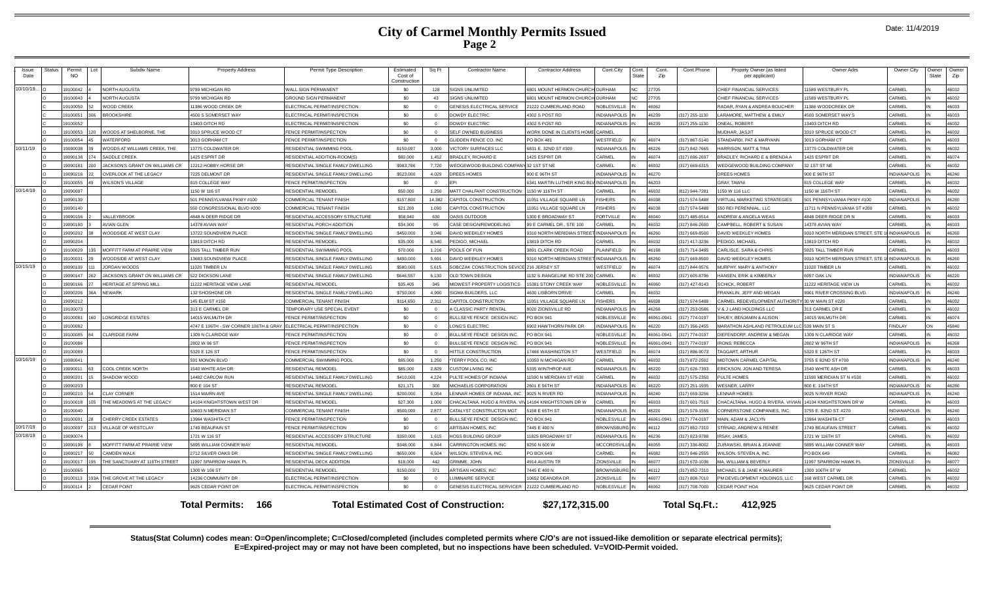|  | Date: 11/4/2019 |
|--|-----------------|
|--|-----------------|

| Issue<br>Date | <b>Status</b>                                                                                                               | Permit<br>NO. | Subdiv Name                           | <b>Property Address</b>               | Permit Type Description            | Estimated<br>Cost of<br>Construction | Sq Ft        | <b>Contractor Name</b>                    | <b>Contractor Address</b>    | Cont.City           | Cont.<br>State | Cont.<br>Zip | Cont.Phone     | Propety Owner (as listed<br>per applicant) | Owner Adrs                       | Owner City          | Owner<br><b>State</b> | Owner<br>Zip |
|---------------|-----------------------------------------------------------------------------------------------------------------------------|---------------|---------------------------------------|---------------------------------------|------------------------------------|--------------------------------------|--------------|-------------------------------------------|------------------------------|---------------------|----------------|--------------|----------------|--------------------------------------------|----------------------------------|---------------------|-----------------------|--------------|
| 10/10/19.     |                                                                                                                             | 9100042       | JORTH ALIGUSTA                        | 9799 MICHIGAN RD                      | <b>WALL SIGN PERMANENT</b>         | \$0                                  | 128          | <b>SIGNS UNLIMITED</b>                    | 801 MOUNT HERMON CHURCH      | <b>DURHAM</b>       | NC.            | 27705        |                | HIEF FINANCIAL SERVICES                    | 1589 WESTBURY PL                 | CARMEL              |                       | 46032        |
|               |                                                                                                                             | 100043        | <b>IORTH AUGUSTA</b>                  | 9799 MICHIGAN RD                      | <b>GROUND SIGN PERMANENT</b>       | \$0                                  | 43           | SIGNS UNLIMITED                           | 801 MOUNT HERMON CHURCI      | DURHAM              | NC.            | 27705        |                | HIEF FINANCIAL SERVICES                    | 1589 WESTBURY PL                 | CARMEL              |                       | 46032        |
|               |                                                                                                                             | 9100050       | <b>VOOD CREEK</b>                     | 11386 WOOD CREEK DR                   | <b>LECTRICAL PERMIT/INSPECTION</b> | \$0                                  | $\Omega$     | <b>GENESIS ELECTRICAL SERVICE</b>         | 21222 CUMBERLAND ROAD        | <b>IOBLESVILLE</b>  |                | 46062        |                | ADAR, RYAN & ANDREA BOUCHER                | 11386 WOODCREEK DF               | CARMEL              |                       | 46033        |
|               |                                                                                                                             | 9100051       | <b>BROOKSHIRE</b>                     | 4500 S SOMERSET WAY                   | ELECTRICAL PERMIT/INSPECTION       | \$0                                  | $\Omega$     | <b>DOWDY ELECTRIC</b>                     | 4302 S POST RD               | NDIANAPOLIS         |                | 46239        | (317) 255-1130 | ARAMORE, MATTHEW & EMILY                   | 4500 SOMERSET WAY S              | CARMEL              |                       | 46033        |
|               |                                                                                                                             | 9100052       |                                       | 13403 DITCH RD                        | LECTRICAL PERMIT/INSPECTION        | \$0                                  | $\Omega$     | <b>DOWDY ELECTRIC</b>                     | 1302 S POST RD               | NDIANAPOLIS         |                | 46239        | 317) 255-1130  | NEAL, ROBERT                               | 13403 DITCH RD                   | CARMEL              |                       | 46032        |
|               |                                                                                                                             | 9100053       | <b>/OODS AT SHELBORNE, THE</b>        | 3310 SPRUCE WOOD CT                   | FENCE PERMIT/INSPECTION            | \$0                                  | $\Omega$     | SELF OWNED BUSINESS                       | VORK DONE IN CLIENTS HOME    | <b>ARMEL</b>        |                |              |                | <b>MUDHAR, JASJIT</b>                      | 3310 SPRUCE WOOD CT              | CARMEL              |                       | 46032        |
|               |                                                                                                                             | 9100054       | <b>IATERFORD</b>                      | 3013 GORHAM CT                        | <b>ENCE PERMIT/INSPECTION</b>      | \$0                                  | $\Omega$     | GLIDDEN FENCE CO, INC                     | PO BOX 481                   | VESTFIELD           |                | 46074        | 317) 867-5140  | TANDARDI, PAT & MARYANN                    | 3013 GORHAM CT                   | CARMEL              |                       | 46033        |
| 10/11/19      |                                                                                                                             | 8200901       | <b>/OODS AT WILLIAMS CREEK. THE</b>   | 13775 COLDWATER DR                    | RESIDENTIAL SWIMMING POOL          | \$150.097                            | 3.000        | VICTORY SURFACES LLC                      | 6831 E. 32ND ST #300         | <b>VDIANAPOLIS</b>  |                | 46226        | 317) 842-7665  | ARRISON, MATT & TINA                       | 13775 COLDWATER DR               | <b>CARMEL</b>       |                       | 46032        |
|               |                                                                                                                             | 9090138       | <b>ADDLE CREEK</b>                    | 1425 ESPRIT DR                        | RESIDENTIAL ADDITION-ROOM(S)       | \$80,000                             | 1.452        | <b>BRADLEY, RICHARD E</b>                 | 425 ESPRIT DR                | ARMEL               |                | 46074        | 317) 696-2697  | RADLEY, RICHARD E & BRENDA A               | 1425 ESPRIT DF                   | CARMEL              |                       | 46074        |
|               |                                                                                                                             | 9090181       | <b>JACKSON'S GRANT ON WILLIAMS CR</b> | 12212 HOBBY HORSE DF                  | RESIDENTIAL SINGLE FAMILY DWELLING | \$983,786                            | 7.720        | WEDGEWOOD BUILDING COMPANY 32 1ST ST NE   |                              | ARMFI               |                | 46032        | (317) 669-6315 | VEDGEWOOD BUILDING COMPANY                 | 32 1ST ST NE                     | CARMEL              |                       | 46032        |
|               |                                                                                                                             | 9090216       | VERLOOK AT THE LEGACY                 | 7225 DELMONT DR                       | RESIDENTIAL SINGLE FAMILY DWELLING | \$523,000                            | 4.029        | DREES HOMES                               | 900 E 96TH ST                | NDIANAPOLIS         |                | 46270        |                | OREES HOMES                                | 900 E 96TH ST                    | <b>INDIANAPOLIS</b> |                       | 46240        |
|               |                                                                                                                             | 9100055       | <b>ILSON'S VILLAGE</b>                | 815 COLLEGE WAY                       | <b>FENCE PERMIT/INSPECTION</b>     | \$0                                  | $\mathbf{0}$ | <b>FPI</b>                                | 6341 MARTIN LUTHER KING BL   | <b>INDIANAPOLIS</b> |                | 46203        |                | <b>GRAY, TAWNI</b>                         | 815 COLLEGE WAY                  | CARMEL              |                       | 46032        |
| 10/14/19      |                                                                                                                             | 9090097       |                                       | 1150 W 116 ST                         | RESIDENTIAL REMODEL                | \$50,000                             |              | 1.250 MATT CHALFANT CONSTRUCTION          | 1150 W 116TH ST              | ARMEI               |                | 46032        | 812) 944-7281  | 150 W 116 LLC                              | 1150 W 116TH ST                  | ARMEL               |                       | 46032        |
|               |                                                                                                                             | 9090139       |                                       | 501 PENNSYLVANIA PKWY#100             | OMMERCIAL TENANT FINISH            | \$157,800                            | 14.382       | CAPITOL CONSTRUCTION                      | 1051 VILLAGE SQUARE LN       | <b>ISHERS</b>       |                | 16038        | 317) 574-5488  | <b>IRTUAL MARKETING STRATEGIES</b>         | 501 PENNSYLVANIA PKWY #100       | NDIANAPOLIS         |                       | 46280        |
|               |                                                                                                                             | 9090140       |                                       | 550 CONGRESSIONAL BLVD #200           | OMMERCIAL TENANT FINISH            | \$21,200                             | 1.090        | CAPITOL CONSTRUCTION                      | 1051 VILLAGE SQUARE LN       | <b>ISHERS</b>       |                | 46038        | 317) 574-5488  | 50 REI PERENNIAL, LLC                      | 1711 N PENNSYLVANIA ST #200      | CARMEL              |                       | 46032        |
|               |                                                                                                                             | 9090156       | <b>/ALLEYBROOK</b>                    | 4848 N DEER RIDGE DR                  | RESIDENTIAL ACCESSORY STRUCTURE    | \$58,940                             | 630          | <b>OASIS OUTDOOR</b>                      | 1300 E BROADWAY ST           | ORTVILLE            |                | 46040        | (317) 485-6514 | <b>INDREW &amp; ANGELA WEAS</b>            | 4848 DEER RIDGE DR N             | CARMEL              |                       | 46033        |
|               |                                                                                                                             | 9090180       | VIAN GLEN                             | 14378 AVIAN WAY                       | RESIDENTIAL PORCH ADDITION         | \$34,900                             | 95           | CASE DESIGN/REMODELING                    | 99 E CARMEL DR., STE 100     | ARMEL               |                | 46032        | 317) 846-2600  | AMPBELL, ROBERT & SUSAN                    | 14378 AVIAN WAY                  | CARMEL              |                       | 46033        |
|               |                                                                                                                             | 9090202       | <b>/OODSIDE AT WEST CLAY</b>          | 13722 SOUNDVIEW PLACE                 | RESIDENTIAL SINGLE FAMILY DWELLING | \$450,000                            | 3.046        | DAVID WEEKLEY HOMES                       | 310 NORTH MERIDIAN STREE     | NDIANAPOLIS         |                | 46260        | 317) 669-8500  | AVID WEEKLEY HOMES                         | 3310 NORTH MERIDIAN STREET, STE. | <b>INDIANAPOLIS</b> |                       | 46260        |
|               |                                                                                                                             | 9090204       |                                       | 13819 DITCH RD                        | RESIDENTIAL REMODEL                | \$35,000                             | 6,540        | PEDIGO, MICHAEL                           | 3819 DITCH RD                | ARMFI               |                | 46032        | 317) 417-3236  | EDIGO, MICHAEL                             | 13819 DITCH RD                   | ARMEL               |                       | 46032        |
|               |                                                                                                                             | 100029        | MOFFITT FARM AT PRAIRIE VIEW          | 5925 TALL TIMBER RUN                  | RESIDENTIAL SWIMMING POOL          | \$70,000                             | 1.216        | POOLS OF FUN                              | <b>8891 CLARK CREEK ROAD</b> | LAINFIELD           |                | 46168        | 317) 714-3495  | ARLISLE, SARA & CHRIS                      | 5925 TALL TIMBER RUN             | ARMEI               |                       | 46033        |
|               |                                                                                                                             | 9100031       | <b>/OODSIDE AT WEST CLAY</b>          | 13683 SOUNDVIEW PLACE                 | RESIDENTIAL SINGLE FAMILY DWELLING | \$490,000                            | 5,691        | DAVID WEEKLEY HOMES                       | 310 NORTH MERIDIAN STREE     | VDIANAPOLIS         |                | 16260        | 317) 669-8500  | AVID WEEKLEY HOMES                         | 3310 NORTH MERIDIAN STREET, STE  | <b>INDIANAPOLIS</b> |                       | 46260        |
| 10/15/19      |                                                                                                                             | 9090109       | IORDAN WOODS                          | 11020 TIMBER LN                       | RESIDENTIAL SINGLE FAMILY DWELLING | \$580,000                            | 5.615        | SOBCZAK CONSTRUCTION SEVICE 216 JERSEY ST |                              | VESTFIELD           |                | 46074        | 317) 844-9576  | <b>ILIRPHY, MARY &amp; ANTHONY</b>         | 1020 TIMBER LN                   | ARMEL               |                       | 46032        |
|               |                                                                                                                             | 9090147       | ACKSON'S GRANT ON WILLIAMS CR         | 522 DICKSON LANE                      | RESIDENTIAL SINGLE FAMILY DWELLING | \$646,557                            | 6.130        | OLD TOWN DESIGN                           | 132 S RANGELINE RD STE 20    | <b>ARMEL</b>        |                | 46032        | 317) 605-8796  | ANSEN, ERIK & KIMBERLY                     | 6957 OAK LN                      | <b>INDIANAPOLIS</b> |                       | 46220        |
|               |                                                                                                                             | 9090166       | <b>IERITAGE AT SPRING MILL</b>        | 11222 HERITAGE VIEW LANE              | RESIDENTIAL REMODEL                | \$35,405                             | 345          | MIDWEST PROPERTY LOGISTICS                | 15381 STONY CREEK WAY        | <b>IOBLESVILLE</b>  |                | 46060        | 317) 427-8143  | CHICK, ROBERT                              | 1222 HERITAGE VIEW LN            | CARMEL              |                       | 46032        |
|               |                                                                                                                             | 3020909       | NFWARK                                | 132 SHOSHONE DR                       | RESIDENTIAL SINGLE FAMILY DWELLING | \$750,000                            | 4.990        | SIGMA BUILDERS, LLC                       | <b>1630 LISBORN DRIVE</b>    | ARMEL               |                | 46032        |                | FRANKLIN, JEFF AND MEGAN                   | 8901 RIVER CROSSING BLVD.        | NDIANAPOLIS         |                       | 46240        |
|               |                                                                                                                             | 9090212       |                                       | 145 ELM ST #150                       | OMMERCIAL TENANT FINISH            | \$114,650                            | 2.311        | CAPITOL CONSTRUCTION                      | 1051 VILLAGE SQUARE LN       | <b>ISHERS</b>       |                | 46038        | 317) 574-5488  | ARMEL REDEVELOPMENT AUTHORITY              | Y 30 W MAIN ST #220              | CARMEL              |                       | 46032        |
|               |                                                                                                                             | 9100073       |                                       | 313 E CARMEL DR                       | <b>EMPORARY USE SPECIAL EVENT</b>  | \$0                                  | $\Omega$     | A CLASSIC PARTY RENTAL                    | <b>8020 ZIONSVILLE RD</b>    | NDIANAPOLIS         |                | 46268        | 317) 253-0586  | & J LAND HOLDINGS LLC                      | 313 CARMEL DR B                  | CARMEI              |                       | 46032        |
|               |                                                                                                                             | 9100081       | ONGRIDGE ESTATES                      | 14015 WILMUTH DR                      | FENCE PERMIT/INSPECTION            | \$0                                  | $\Omega$     | BULLSEYE FENCE DESIGN INC.                | PO BOX 941                   | <b>VOBLESVILLE</b>  |                | 46061-094    | 317) 774-0197  | HUEY, BENJAMIN & ALISON                    | 14015 WILMUTH DR                 | CARMEI              |                       | 46074        |
|               |                                                                                                                             | 9100082       |                                       | 4747 E 106TH - SW CORNER 106TH & GRAY | ELECTRICAL PERMIT/INSPECTION       | \$0                                  | $\Omega$     | LONG'S ELECTRIC                           | <b>902 HAWTHORN PARK DR</b>  | <b>NDIANAPOLIS</b>  |                | 46220        | 317) 356-2455  | <b>IARATHON ASHLAND PETROLEUM LI</b>       | 539 MAIN ST S                    | <b>FINDLAY</b>      |                       | 45840        |
|               |                                                                                                                             | 9100085       | LARIDGE FARM                          | 1309 N CLARIDGE WAY                   | <b>ENCE PERMIT/INSPECTION</b>      | \$0                                  | $\Omega$     | BULLSEYE FENCE DESIGN INC.                | PO BOX 941                   | <b>IOBLESVILLE</b>  |                | 46061-0941   | 317) 774-0197  | IEFENDORF, ANDREW & MEGAN                  | 1309 N CLARIDGE WAY              | CARMEL              |                       | 46032        |
|               |                                                                                                                             | 9100086       |                                       | 2802 W 96 ST                          | ENCE PERMIT/INSPECTION             | \$0                                  | $\Omega$     | BULLSEYE FENCE DESIGN INC.                | O BOX 941                    | <b>IOBLESVILLE</b>  |                | 16061-0941   | 317) 774-0197  | ONS. REBECCA                               | 2802 W 96TH ST                   | <b>NDIANAPOLIS</b>  |                       | 46268        |
|               |                                                                                                                             | 100089        |                                       | 5320 E 126 ST                         | <b>FNCF PERMIT/INSPECTION</b>      | \$0                                  | $\Omega$     | HITTLE CONSTRUCTION                       | 7466 WASHINGTON ST           | VESTFIELD           |                | 46074        | 317) 896-9073  | <b>AGGART, ARTHUR</b>                      | 5320 E 126TH ST                  | <b>ARMEL</b>        |                       | 46033        |
| 10/16/19      |                                                                                                                             | 908004        |                                       | 591 MONON BLVD                        | COMMERCIAL SWIMMING POOL           | \$95,000                             | 1.250        | *TERRY POOL CO, INC                       | 0350 N MICHIGAN RD           | ARMEL               |                | 16032        | 317) 872-2502  | <b>IIDTOWN CARMEL CAPITAL</b>              | 3755 E 82ND ST #700              | <b>NDIANAPOLIS</b>  |                       | 46240        |
|               |                                                                                                                             | 9090011       | COOL CREEK NORTH                      | 1540 WHITE ASH DR                     | RESIDENTIAL REMODE                 | \$85,000                             | 2.829        | <b>CUSTOM LIVING INC</b>                  | 5335 WINTHROP AVE            | NDIANAPOLIS         |                | 46220        | (317) 626-7393 | RICKSON, JON AND TERESA                    | 1540 WHITE ASH DR                | CARMEL              |                       | 46033        |
|               |                                                                                                                             | 9090201       | <b>SHADOW WOOD</b>                    | 14482 CARLOW RUN                      | RESIDENTIAL SINGLE FAMILY DWELLING | \$410,000                            | 4.224        | PULTE HOMES OF INDIANA                    | 1590 N MERIDIAN ST #530      | ARMEL               |                | 46032        | (317) 575-2350 | <b>ULTE HOMES</b>                          | 11590 MERIDIAN ST N #530         | CARMEL              |                       | 46032        |
|               |                                                                                                                             | 9090203       |                                       | 800 E 104 ST                          | RESIDENTIAL REMODEL                | \$21,171                             | 300          | MICHAELIS CORPORATION                     | 2601 E 56TH ST               | NDIANAPOLIS         |                | 46220        | 317) 251-1935  | <b>ESNER, LARRY</b>                        | 800 E. 104TH ST                  | NDIANAPOLIS         |                       | 46280        |
|               |                                                                                                                             | 9090210       | <b>LAY CORNER</b>                     | 1514 MAIRN AVE                        | RESIDENTIAL SINGLE FAMILY DWELLING | \$200,000                            | 5.054        | LENNAR HOMES OF INDIANA, INC              | 9025 N RIVER RD              | <b>VDIANAPOLIS</b>  |                | 46240        | 317) 659-3256  | <b>ENNAR HOMES</b>                         | 9025 N RIVER ROAD                | <b>NDIANAPOLIS</b>  |                       | 46240        |
|               |                                                                                                                             | 9100018       | HE MEADOWS AT THE LEGACY              | 14104 KNIGHTSTOWN WEST DR             | RESIDENTIAL REMODEL                | \$27,300                             | 1.000        | CHACALTANA, HUGO & RIVERA,                | 14104 KNIGHTSTOWN DR W       | ARMEL               |                | 16033        | 317) 601-7515  | HACALTANA, HUGO & RIVERA, VIVIAN           | 14104 KNIGHTSTOWN DR W           | CARMEL              |                       | 46033        |
|               |                                                                                                                             | 9100040       |                                       | 10603 N MERIDIAN ST                   | COMMERCIAL TENANT FINISH           | \$500,000                            | 2,877        | CATALYST CONSTRUCTON MGT                  | 158 E 65TH ST                | NDIANAPOLIS         |                | 46220        | 317) 579-1555  | ORNERSTONE COMPANIES, INC.                 | 3755 E. 82ND ST. #270            | <b>INDIANAPOLIS</b> |                       | 46240        |
|               |                                                                                                                             | 9100091       | CHERRY CREEK ESTATES                  | 13964 WASHITA CT                      | FENCE PERMIT/INSPECTION            | \$0                                  | $\Omega$     | BULLSEYE FENCE DESIGN INC.                | PO BOX 941                   | <b>NOBLESVILLE</b>  |                | 46061-094    | 317) 774-0197  | MAIN, ADAM & JACLYN                        | 13964 WASHITA CT                 | CARMEL              |                       | 46033        |
| 10/17/19      |                                                                                                                             | 9100097       | <b>/ILLAGE OF WESTCLAY</b>            | 1749 BEAUFAIN ST                      | FENCE PERMIT/INSPECTION            | \$0                                  | $\Omega$     | ARTISAN HOMES, INC.                       | 7445 E 400 N                 | ROWNSBURG           |                | 46112        | 317) 852-7310  | TRNAD, ANDREW & RENEE                      | 1749 BEAUFAIN STREET             | CARMEL              |                       | 46032        |
| 10/18/19      |                                                                                                                             | 9090074       |                                       | 1721 W 116 ST                         | RESIDENTIAL ACCESSORY STRUCTURE    | \$350,000                            | 1,615        | <b>HOSS BUILDING GROUP</b>                | 1825 BROADWAY ST             | NDIANAPOLIS         |                | 16236        | 317) 823-9788  | <b>RSAY, JAMES</b>                         | 1721 W 116TH ST                  | CARMEL              |                       | 46032        |
|               |                                                                                                                             | 9090198       | <b>IOFFITT FARM AT PRAIRIE VIEW</b>   | 5895 WILLIAM CONNER WAY               | RESIDENTIAL REMODEL                | \$348,000                            | 6.844        | CARRINGTON HOMES. INC                     | 8250 N 600 W                 | <b>ICCORDSVILLE</b> |                | 16055        | 317) 336-8002  | URAWSKI, BRIAN & JEANNIE                   | 5895 WILLIAM CONNER WAY          | ARMEL               |                       | 46033        |
|               |                                                                                                                             | 9090217       | AMDEN WALK                            | 2712 SILVER OAKS DR                   | RESIDENTIAL SINGLE FAMILY DWELLING | \$650,000                            | 6.504        | WILSON, STEVEN A. INC.                    | PO BOX 649                   | ARMFI               |                | 46082        | 317) 846-2555  | <b>ILSON, STEVEN A. INC.</b>               | PO BOX 649                       | <b>CARMEL</b>       |                       | 46082        |
|               |                                                                                                                             | 9100017       | HE SANCTUARY AT 116TH STREET          | 11997 SPARROW HAWK PL                 | RESIDENTIAL DECK ADDITION          | \$18,000                             | 442          | <b>GRIMME, JOHN</b>                       | 4914 AUSTIN TR               | <b>IONSVILLE</b>    |                | 16077        | 317) 670-1036  | <b>IA, WILLIAM &amp; BEVERLY</b>           | 1997 SPARROW HAWK PL             | ZIONSVILLI          |                       | 46077        |
|               |                                                                                                                             | 9100065       |                                       | 1300 W 106 ST                         | RESIDENTIAL REMODEL                | \$150,000                            | 371          | ARTISAN HOMES, INC                        | 7445 E 400 N                 | <b>BROWNSBURG</b>   |                | 46112        | 317) 852-7310  | <b>IICHAEL S &amp; JANE K MAURER</b>       | 1300 106TH ST W                  | <b>CARMEL</b>       |                       | 46032        |
|               |                                                                                                                             | 9100113       | THE GROVE AT THE LEGACY               | 14236 COMMUNITY DR                    | ELECTRICAL PERMIT/INSPECTION       | \$0                                  | $\Omega$     | <b>UMINAIRE SERVICE</b>                   | 0652 DEANDRA DR              | <b>IONSVILLE</b>    |                | 16077        | 317) 808-7010  | M DEVELOPMENT HOLDINGS, LLC                | 168 WEST CARMEL DR               | CARMEL              |                       | 46032        |
|               |                                                                                                                             | 9100114       | <b>CEDAR POINT</b>                    | 9625 CEDAR POINT DR                   | ELECTRICAL PERMIT/INSPECTION       | \$0                                  |              | GENESIS ELECTRICAL SERVICER               | 21222 CUMBERLAND RD          | <b>JOBLESVILLE</b>  |                | 16062        | 317) 708-7000  | <b>EDAR POINT HOA</b>                      | 625 CEDAR POINT DR               | CARMEL              |                       | 46032        |
|               | 166<br><b>Total Estimated Cost of Construction:</b><br>\$27,172,315.00<br>Total Sq.Ft.:<br>412.925<br><b>Total Permits:</b> |               |                                       |                                       |                                    |                                      |              |                                           |                              |                     |                |              |                |                                            |                                  |                     |                       |              |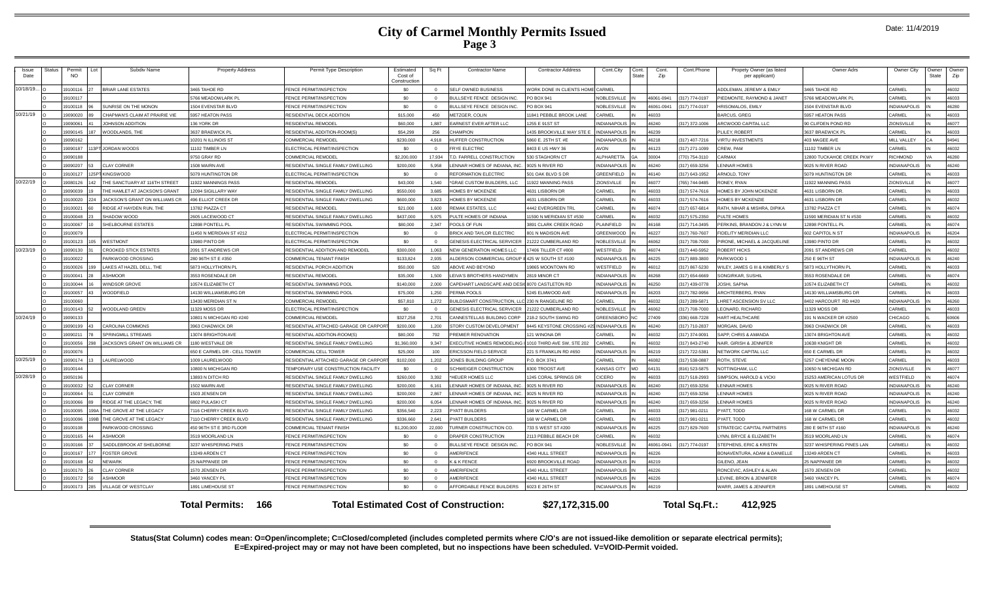|  | Date: 11/4/2019 |
|--|-----------------|
|--|-----------------|

| Issue<br>Date | Status | Permit<br>Lot<br><b>NO</b> | Subdiv Name                    | <b>Property Address</b>                      | Permit Type Description                                                   | Estimateo<br>Cost of<br>Construction | Sq Ft    | Contractor Name                                       | <b>Contractor Address</b>                       | Cont.City                         | Cont.<br>State | Cont.<br>Zip   | Cont.Phone                       | Propety Owner (as listed<br>per applicant)        | Owner Adr                                      | Owner City              | Owner<br><b>State</b> | Owner<br>Zip   |
|---------------|--------|----------------------------|--------------------------------|----------------------------------------------|---------------------------------------------------------------------------|--------------------------------------|----------|-------------------------------------------------------|-------------------------------------------------|-----------------------------------|----------------|----------------|----------------------------------|---------------------------------------------------|------------------------------------------------|-------------------------|-----------------------|----------------|
| 10/18/19      |        | 19100116                   | BRIAR LANE ESTATES             | 3465 TAHOE RD                                | FENCE PERMIT/INSPECTION                                                   | \$0                                  |          | <b>FLE OWNED BUSINESS</b>                             | <b>VORK DONE IN CLIENTS HOME CARMEL</b>         |                                   |                |                |                                  | ADDI FMAN. JEREMY & EMILY                         | 3465 TAHOE RD                                  | CARMEL                  |                       | 46032          |
|               |        | 19100117                   |                                | 5766 MEADOWLARK PL                           | FENCE PERMIT/INSPECTION                                                   | \$0                                  |          | ULLSEYE FENCE DESIGN INC.                             | PO BOX 941                                      | <b>VOBLESVILLE</b>                |                | 46061-0941     | (317) 774-0197                   | PIEDMONTE, RAYMOND & JANET                        | 5766 MEADOWLARK PI                             | CARMEL                  |                       | 46033          |
|               |        | 19100118                   | UNRISE ON THE MONON            | 1504 EVENSTAR BLVD                           | FENCE PERMIT/INSPECTION                                                   | \$0                                  | $\Omega$ | ULLSEYE FENCE DESIGN INC.                             | O BOX 941                                       | NOBI FSVILLE                      |                | 46061-0941     | (317) 774-0197                   | <b>HRISOMALOS EMILY</b>                           | 1504 EVENSTAR BLVD                             | INDIANAPOLIS            |                       | 46280          |
| 10/21/19      |        | 19090020                   | CHAPMAN'S CLAIM AT PRAIRIE VIE | 5957 HEATON PASS                             | RESIDENTIAL DECK ADDITION                                                 | \$15,000                             | 450      | <b>IETZGER, COLIN</b>                                 | 1841 PEBBLE BROOK LANE                          | <b>ARMEL</b>                      |                | 46033          |                                  | <b>BARCUS, GREG</b>                               | 5957 HEATON PASS                               | CARMEL                  |                       | 46033          |
|               |        | 19090061                   | OHNSON ADDITION                | 136 YORK DR                                  | <b>ESIDENTIAL REMODE</b>                                                  | \$60,000                             | 1.887    | <b>ARNEST EVER AFTER LLC</b>                          | 255 E 91ST ST                                   | <b>NDIANAPOLIS</b>                |                | 46240          | 317) 372-1006                    | ARCWOOD CAPITAL LLC                               | 90 CLIFDEN POND RD                             | ZIONSVILLE              |                       | 46077          |
|               |        | 19090145                   | <b>NOODLANDS, THE</b>          | 3637 BRAEWICK PI                             | RESIDENTIAL ADDITION-ROOM(S)                                              | \$54,299                             | 256      | HAMPION                                               | 435 BROOKVILLE WAY STE E                        | <b>INDIANAPOLIS</b>               |                | 46239          |                                  | PLILEY ROBERT                                     | 3637 BRAEWICK PI                               | CARMEL                  |                       | 46033          |
|               |        | 19090162                   |                                | 10201 N ILLINOIS ST                          | COMMERCIAL REMODEL                                                        | \$230,000                            | 4.918    | UFFER CONSTRUCTION                                    | 860 E. 25TH ST. #E                              | <b>INDIANAPOLIS</b>               |                | 46218          | (317) 407-7216                   | <b>VIRTU INVESTMENTS</b>                          | 403 MAGEE AVE                                  | MILL VALLEY             |                       | 94941          |
|               |        | 19090187                   | JORDAN WOODS                   | 11102 TIMBER LN                              | <b>LECTRICAL PERMIT/INSPECTION</b>                                        | \$0                                  |          | <b>RYE ELECTRIC</b>                                   | 403 E US HWY 36                                 | <b>VON</b>                        |                | 46123          | (317) 271-1099                   | CREW, PAM                                         | 11102 TIMBER LN                                | ARMEL                   |                       | 46032          |
|               |        | 19090188                   |                                | 9750 GRAY RD                                 | COMMERCIAL REMODEL                                                        | \$2,200,000                          | 17,934   | <b>D. FARRELL CONSTRUCTION</b>                        | 530 STAGHORN CT                                 | <b>LPHARETTA</b>                  |                | 30004          | (770) 754-3110                   | CARMAX                                            | 12800 TUCKAHOE CREEK PKWY                      | RICHMOND                |                       | 46280          |
|               |        | 19090207                   | <b>CLAY CORNER</b>             | 1508 MAIRN AVE                               | RESIDENTIAL SINGLE FAMILY DWELLING                                        | \$200,000                            | 5.958    | ENNAR HOMES OF INDIANA, IN                            | 025 N RIVER RD                                  | <b>INDIANAPOLIS</b>               |                | 46240          | (317) 659-3256                   | <b>ENNAR HOMES</b>                                | 9025 N RIVER ROAD                              | <b>NDIANAPOLIS</b>      |                       | 46240          |
|               |        | 19100127                   | <b>KINGSWOOD</b>               | 5079 HUNTINGTON DR                           | ELECTRICAL PERMIT/INSPECTION                                              | \$0                                  |          | <b>EFORMATION ELECTRIC</b>                            | 501 OAK BLVD S DR                               | GREENFIELD                        |                | 46140          | (317) 643-1952                   | ARNOLD, TONY                                      | 5079 HUNTINGTON DR                             | CARMEL                  |                       | 46033          |
| 10/22/19      |        | 19080126                   | HE SANCTUARY AT 116TH STREET   | 11922 MANNINGS PASS                          | RESIDENTIAL REMODE                                                        | \$43,000                             | 1.540    | <b>GRAE CUSTOM BUILDERS, LLC</b>                      | 1922 MANNING PASS                               | ZIONSVILLE                        |                | 46077          | (765) 744-9485                   | RONEY, RYAN                                       | 11922 MANNING PASS                             | <b>ZIONSVILLE</b>       |                       | 46077          |
|               |        | 19090039                   | HE HAMLET AT JACKSON'S GRANT   | 12094 SIGILLARY WAY                          | RESIDENTIAL SINGLE FAMILY DWELLING                                        | \$550,000                            | 3.685    | <b>IOMES BY MCKENZIE</b>                              | 4631 LISBORN DR                                 | CARMEL                            |                | 46033          | (317) 574-7616                   | <b>HOMES BY JOHN MCKENZIE</b>                     | 4631 LISBORN DR.                               | CARMEL                  |                       | 46033          |
|               |        | 19100020<br>224            | ACKSON'S GRANT ON WILLIAMS CR  | <b>496 ELLIOT CREEK DR</b>                   | RESIDENTIAL SINGLE FAMILY DWELLING                                        | \$600,000                            | 3.823    | <b>IOMES BY MCKENZIE</b>                              | 4631 LISBORN DR                                 | CARMEL                            |                | 46033          | (317) 574-7616                   | <b>HOMES BY MCKENZIE</b>                          | 4631 LISBORN DR                                | CARMEL                  |                       | 46032          |
|               |        | 19100021                   | RIDGE AT HAYDEN RUN. THE       | 13782 PIAZZA CT                              | RESIDENTIAL REMODE                                                        | \$21,000                             | 1.600    | <b>EMAK ESTATES, LLC</b>                              | 4442 EVERGREEN TRL                              | CARMEL                            |                | 46074          | (317) 657-6814                   | RATH, NIHAR & MISHRA, DIPIKA                      | 13782 PIAZZA CT                                | CARMEI                  |                       | 46074          |
|               |        | 19100048                   | HADOW WOOD                     | 2605 LACEWOOD CT                             | RESIDENTIAL SINGLE FAMILY DWELLING                                        | \$437,000                            | 5.975    | ULTE HOMES OF INDIANA                                 | 1590 N MERIDIAN ST #530                         | <b>ARMEL</b>                      |                | 46032          | (317) 575-2350                   | PULTE HOMES                                       | 11590 MERIDIAN ST N #530                       | CARMEI                  |                       | 46032          |
|               |        | 19100067                   | <b>HELBOURNE ESTATES</b>       | 12898 PONTELL PL                             | RESIDENTIAL SWIMMING POOL                                                 | \$80,000                             | 2.347    | OOI S OF FUN                                          | <b>8891 CLARK CREEK ROAD</b>                    | PLAINFIELD                        |                | 46168          | (317) 714-3495                   | PERKINS, BRANDON J & LYNN M                       | 12898 PONTELL PI                               | CARMEI                  |                       | 46074          |
|               |        | 19100079                   |                                | 11450 N MERIDIAN ST #212                     | ELECTRICAL PERMIT/INSPECTION                                              | \$0                                  | $\Omega$ | <b>RICK AND TAYLOR ELECTRIC</b>                       | 801 N MADISON AVE                               | <b>GREENWOOD</b>                  |                | 46227          | (317) 760-7607                   | FIDELITY MERIDIAN LLC                             | 602 CAPITOL N ST                               | INDIANAPOLIS            |                       | 46204          |
|               |        | 19100123                   | <b>WESTMONT</b>                | 13980 PINTO DR                               | <b>LECTRICAL PERMIT/INSPECTION</b>                                        | \$0                                  |          | <b>ENESIS ELECTRICAL SERVICER</b>                     | 1222 CUMBERLAND RD                              | NOBLESVILLE                       |                | 46062          | (317) 708-7000                   | PIRONE, MICHAEL & JACQUELINE                      | 13980 PINTO DR                                 | CARMEL                  |                       | 46032          |
| 10/23/19      |        | 19090130                   | <b>ROOKED STICK ESTATES</b>    | 2091 ST ANDREWS CIR                          | RESIDENTIAL ADDITION AND REMODEL                                          | \$300,000                            | 1.063    | NEW GENERATION HOMES LLC                              | 7406 TILLER CT #800                             | <b>NESTFIELD</b>                  |                | 46074          | (317) 440-5952                   | ROBERT HICKS                                      | 2091 ST ANDREWS CIR                            | CARMEL                  |                       | 46032          |
|               |        | 19100022                   | ARKWOOD CROSSING               | 280 96TH ST E #350                           | COMMERCIAL TENANT FINISH                                                  | \$133,824                            | 2.935    | LDERSON COMMERCIAL GROUP I                            | 25 W SOUTH ST #100                              | <b>INDIANAPOLIS</b>               |                | 46225          | (317) 889-3800                   | PARKWOOD 1                                        | 250 E 96TH ST                                  | <b>NDIANAPOLIS</b>      |                       | 46240          |
|               |        | 19100026                   | AKES AT HAZEL DELL, THE        | 5873 HOLLYTHORN PI                           | RESIDENTIAL PORCH ADDITION                                                | \$50,000                             | 520      | <b>BOVE AND BEYOND</b>                                | 9865 MOONTOWN RD                                | <b>NESTFIELD</b>                  |                | 46012          | 317) 867-5230                    | VILEY, JAMES G III & KIMBERLY S                   | 5873 HOLLYTHORN PI                             | CARMEI                  |                       | 46033          |
|               |        | 19100041                   | SHMOOF                         | 3553 ROSENDALE DR                            | RESIDENTIAI REMODEI                                                       | \$35,000                             | 1,500    | EIVA'S BROTHERS HANDYMEN                              | 2819 MINOR CT                                   | <b>INDIANAPOLIS</b>               |                | 46268          | (317) 654-6669                   | SONGIRKAR, SUSHI                                  | 3553 ROSENDALE DR                              | CARMEI                  |                       | 46074          |
|               |        | 19100044                   | <b>INDSOR GROVE</b>            | 10574 ELIZABETH CT                           | RESIDENTIAL SWIMMING POOL                                                 | \$140,000                            | 2,000    | APEHART LANDSCAPE AND DES                             | 070 CASTLETON RD                                | <b>INDIANAPOLIS</b>               |                | 46250          | (317) 439-0778                   | OSHI, SAPNA                                       | 10574 ELIZABETH CT                             | CARMEL                  |                       | 46032          |
|               |        | 19100057                   | <b>NOODFIELD</b>               | 14130 WILLIAMSBURG DR                        | RESIDENTIAL SWIMMING POOL                                                 | \$75,000                             | 1.250    | ERMA POOLS                                            | 5245 ELMWOOD AVE                                | <b>INDIANAPOLIS</b>               |                | 46203          | (317) 782-9956                   | RCHTERBERG, RYAN                                  | 14130 WILLIAMSBURG DR                          | CARMEL                  |                       | 46033          |
|               |        | 19100060                   |                                | 13430 MERIDIAN ST N                          | COMMERCIAL REMODEL                                                        | \$57,810                             | 1,272    | <b>UILDSMART CONSTRUCTION, L</b>                      | C 230 N RANGELINE RD                            | ARMEL                             |                | 46032          | (317) 289-5871                   | <b>LHRET ASCENSION SV LLC</b>                     | 8402 HARCOURT RD #420                          | <b>NDIANAPOLIS</b>      |                       | 46260          |
|               |        | 19100143                   | VOODI AND GREEN                | 11329 MOSS DR                                | <b>LECTRICAL PERMIT/INSPECTION</b>                                        | SO.                                  | $\Omega$ | <b>ENESIS ELECTRICAL SERVICER</b>                     | 1222 CUMBERLAND RD                              | NOBLESVILLE                       |                | 46062          | (317) 708-7000                   | <b>EONARD, RICHARD</b>                            | 11329 MOSS DR                                  | CARMEL                  |                       | 46033          |
| 10/24/19      |        | 19090133<br>19090199       | CAROLINA COMMONS               | 10801 N MICHIGAN RD #240<br>3963 CHADWICK DI | COMMERCIAL REMODEL                                                        | \$327,258<br>\$200,000               | 2,701    | ANNESTELLAS BUILDING CORP<br>TORY CLISTOM DEVELOPMENT | 18-2 SOUTH SWING RD<br>445 KEYSTONE CROSSING #2 | GREENSBORC<br><b>INDIANAPOLIS</b> |                | 27409          | (336) 668-7228                   | <b>HART HEALTHCARE</b><br><b>MORGAN DAVID</b>     | 191 N WACKER DR #2500                          | CHICAGO<br>CARMEL       |                       | 60606          |
|               |        |                            |                                |                                              | RESIDENTIAL ATTACHED GARAGE OR CARPOR                                     |                                      | 1.200    |                                                       |                                                 |                                   |                | 46240          | (317) 710-2837                   |                                                   | 3963 CHADWICK DR                               |                         |                       | 46033          |
|               |        | 19090211                   | SPRINGMILL STREAMS             | 13074 BRIGHTON AVE                           | RESIDENTIAL ADDITION-ROOM(S)                                              | \$80,000                             | 792      | <b>REMIER RENOVATION</b>                              | <b>21 WINONA DR</b>                             | <b>ARMEL</b>                      |                | 46032          | (317) 374-9091                   | SAPP, CHRIS & AMANDA                              | 13074 BRIGHTON AVE                             | CARMEL                  |                       | 46032          |
|               |        | 19100056                   | ACKSON'S GRANT ON WILLIAMS CR  | 1180 WESTVALE DR                             | RESIDENTIAL SINGLE FAMILY DWELLING                                        | \$1,360,000                          | 9.347    | <b>XECUTIVE HOMES REMODEL</b>                         | 010 THIRD AVE SW. STE 202                       | <b>ARMEL</b>                      |                | 46032          | (317) 843-2740                   | VAIR, GIRISH & JENNIFER                           | 10638 KNIGHT DR<br>650 E CARMEL DR             | CARMEL<br>CARMEL        |                       | 46032          |
|               |        | 19100076                   |                                | 650 E CARMEL DR - CELL TOWER                 | COMMERCIAL CELL TOWER                                                     | \$25,000                             | 100      | RICSSON FIELD SERVICE                                 | 221 S FRANKI IN RD #650                         | <b>INDIANAPOLIS</b>               |                | 46219          | (217) 722-5381                   | <b>VETWORK CAPITAL LLC</b>                        |                                                |                         |                       | 46032          |
| 10/25/19      |        | 19090174                   | LAURELWOOD                     | 1009 LAURELWOOD                              | RESIDENTIAL ATTACHED GARAGE OR CARPO                                      | \$102,000                            | 1.202    | ONES BUILDING GROUP                                   | P.O. BOX 3741                                   | <b>ARMEL</b>                      |                | 46082          | (317) 538-0887                   | ROTH, STEVE                                       | 5257 CHEYENNE MOON                             | CARMEL                  |                       | 46033          |
| 10/28/19      |        | 19100144<br>19050196       |                                | 10800 N MICHIGAN RD<br>13893 N DITCH RD      | TEMPORARY USE CONSTRUCTION FACILITY<br>RESIDENTIAL SINGLE FAMILY DWELLING | \$0<br>\$260,000                     | 3.392    | CHWEIGER CONSTRUCTION<br>HELIER HOMES LLO             | 3300 TROOST AVE<br>245 CORAL SPRINGS DR         | KANSAS CITY<br>CICERO             | MO             | 64131<br>46033 | (816) 523-5875<br>(317) 518-2993 | <b>VOTTINGHAM, LLC</b><br>SIMPSON, HAROLD & VICKI | 10650 N MICHIGAN RD<br>15253 AMERICAN LOTUS DR | ZIONSVILLE<br>WESTFIELD |                       | 46077<br>46074 |
|               |        | 19100032<br>52             | <b>CLAY CORNER</b>             | 1502 MAIRN AVE                               | RESIDENTIAL SINGLE FAMILY DWELLING                                        | \$200,000                            | 6.161    | ENNAR HOMES OF INDIANA. II                            | 9025 N RIVER RD                                 | <b>INDIANAPOLIS</b>               |                | 46240          | (317) 659-3256                   | <b>ENNAR HOMES</b>                                | 9025 N RIVER ROAD                              | <b>INDIANAPOLIS</b>     |                       | 46240          |
|               |        | 19100064                   | CLAY CORNER                    | 1503 JENSEN DR                               | RESIDENTIAL SINGLE FAMILY DWELLING                                        | \$200,000                            | 2.867    | ENNAR HOMES OF INDIANA, INC                           | 025 N RIVER RD                                  | <b>INDIANAPOLIS</b>               |                | 46240          | (317) 659-3256                   | <b>ENNAR HOMES</b>                                | 9025 N RIVER ROAD                              | <b>INDIANAPOLIS</b>     |                       | 46240          |
|               |        | 19100066                   | RIDGE AT THE LEGACY. THE       | 6802 PULASKI CT                              | RESIDENTIAL SINGLE FAMILY DWELLING                                        | \$200,000                            | 6.054    | ENNAR HOMES OF INDIANA, INC.                          | 025 N RIVER RD                                  | <b>INDIANAPOLIS</b>               |                | 46240          | (317) 659-3256                   | <b>ENNAR HOMES</b>                                | 9025 N RIVER ROAD                              | <b>NDIANAPOLIS</b>      |                       | 46240          |
|               |        | 19100095                   | THE GROVE AT THE LEGACY        | 7116 CHERRY CREEK BLVD                       | RESIDENTIAL SINGLE FAMILY DWELLING                                        | \$356,540                            | 2.223    | YATT BUILDERS                                         | 68 W CARMEL DF                                  | CARMEL                            |                | 46033          | (317) 981-0211                   | <b>PYATT, TODD</b>                                | 168 W CARMEL DR                                | CARMEL                  |                       | 46032          |
|               |        | 19100096                   | HE GROVE AT THE LEGACY         | 7110 CHERRY CREEK BLVD                       |                                                                           | \$336,660                            | 2.641    |                                                       | 168 W CARMEL DR                                 | CARMEL                            |                | 46033          | (317) 981-0211                   | PYATT. TODD                                       | 168 W CARMEL DR                                | CARMEL                  |                       | 46032          |
|               |        | 19100108                   | ARKWOOD CROSSING               | 450 96TH ST E 3RD FLOOR                      | RESIDENTIAL SINGLE FAMILY DWELLING<br>OMMERCIAL TENANT FINISH             | \$1,200,000                          | 22,000   | YATT BUILDERS<br>URNER CONSTRUCTION CO                | 733 S WEST ST #200                              | <b>INDIANAPOLIS</b>               |                | 46225          | (317) 829-7600                   | TRATEGIC CAPITAL PARTNERS                         | 280 E 96TH ST #160                             | <b>INDIANAPOLIS</b>     |                       | 46240          |
|               |        | 19100165                   | SHMOOR                         | 3519 MOORLAND LN                             | <b>ENCE PERMIT/INSPECTION</b>                                             | \$0                                  |          | RAPER CONSTRUCTION                                    | 113 PEBBLE BEACH DR                             | ARMEL                             |                | 46032          |                                  | YNN, BRYCE & ELIZABETH                            | 3519 MOORLAND LN                               | CARMEL                  |                       | 46074          |
|               |        | 19100166                   | SADDLEBROOK AT SHELBORNE       | 3237 WHISPERING PNES                         | FENCE PERMIT/INSPECTION                                                   | \$0                                  | $\Omega$ | ULLSEYE FENCE DESIGN INC.                             | O BOX 941                                       | NOBLESVILLE                       |                | 46061-0941     | (317) 774-0197                   | STEPHENS, ERIC & KRISTIN                          | 3237 WHISPERING PINES LAN                      | CARMEL                  |                       | 46032          |
|               |        | 19100167                   | <b>FOSTER GROVE</b>            | 13249 ARDEN CT                               | FENCE PERMIT/INSPECTION                                                   | \$0                                  |          | MERIFENCE                                             | <b>1340 HULL STREET</b>                         | <b>INDIANAPOLIS</b>               |                | 46226          |                                  | <b>BONAVENTURA, ADAM &amp; DANIELLE</b>           | 13249 ARDEN CT                                 | CARMEL                  |                       | 46033          |
|               |        | 19100168                   | NFWARK                         | 25 NAPPANEE DR                               | FENCE PERMIT/INSPECTION                                                   | \$0                                  |          | & K FENCE                                             | 920 BROOKVILLE ROAD                             | <b>INDIANAPOLIS</b>               |                | 46219          |                                  | <b>GILENO, JEAN</b>                               | 25 NAPPANEE DR                                 | CARME                   |                       | 46032          |
|               |        | 19100170                   | CLAY CORNER                    | 1570 JENSEN DR                               | FENCE PERMIT/INSPECTION                                                   | \$0                                  |          | MERIFENCE                                             | 4340 HULL STREET                                | <b>INDIANAPOLIS</b>               |                | 46226          |                                  | RONCEVIC, ASHLEY & ALAN                           | 1570 JENSEN DR                                 | CARMEI                  |                       | 46032          |
|               |        | 19100172                   | ASHMOOR                        | 3460 YANCEY PL                               | FENCE PERMIT/INSPECTION                                                   | \$0                                  | $\Omega$ | <b>MERIFENCE</b>                                      | 4340 HULL STREET                                | <b>INDIANAPOLIS</b>               |                | 46226          |                                  | EVINE, BRION & JENNIFER                           | 3460 YANCEY PL                                 | CARMEL                  |                       | 46074          |
|               |        | 19100173<br>285            | <b>ILLAGE OF WESTCLAY</b>      | 1891 LIMEHOUSE ST                            | FENCE PERMIT/INSPECTION                                                   | \$0                                  |          | <b>FFORDABLE FENCE BUILDERS</b>                       | 6023 E 26TH ST                                  | <b>INCIANAPOLIS</b>               |                | 46219          |                                  | <b><i>NARR, JAMES &amp; JENNIFER</i></b>          | 1891 LIMEHOUSE ST                              | CARMEL                  |                       | 46032          |
|               |        |                            |                                |                                              |                                                                           |                                      |          |                                                       |                                                 |                                   |                |                |                                  |                                                   |                                                |                         |                       |                |
|               |        |                            |                                | -166<br>Total Permits:                       |                                                                           |                                      |          | <b>Total Estimated Cost of Construction:</b>          | \$27.172.315.00                                 |                                   |                |                | <b>Total Sq.Ft.:</b>             | 412.925                                           |                                                |                         |                       |                |